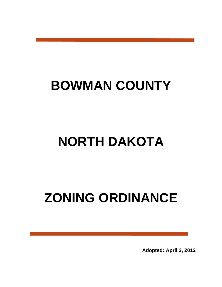## **BOWMAN COUNTY**

## **NORTH DAKOTA**

# **ZONING ORDINANCE**

**Adopted: April 3, 2012**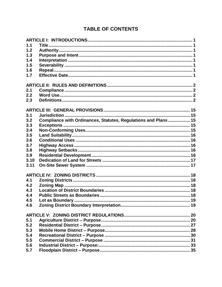## **TABLE OF CONTENTS**

| 1.1  |                                                                 |  |
|------|-----------------------------------------------------------------|--|
| 1.2  |                                                                 |  |
| 1.3  |                                                                 |  |
| 1.4  |                                                                 |  |
| 1.5  |                                                                 |  |
| 1.6  |                                                                 |  |
| 1.7  |                                                                 |  |
|      |                                                                 |  |
| 2.1  |                                                                 |  |
| 2.2  |                                                                 |  |
|      |                                                                 |  |
| 2.3  |                                                                 |  |
|      |                                                                 |  |
| 3.1  |                                                                 |  |
| 3.2  | Compliance with Ordinances, Statutes, Regulations and Plans  15 |  |
| 3.3  |                                                                 |  |
| 3.4  |                                                                 |  |
| 3.5  |                                                                 |  |
| 3.6  |                                                                 |  |
| 3.7  |                                                                 |  |
| 3.8  |                                                                 |  |
| 3.9  |                                                                 |  |
| 3.10 |                                                                 |  |
| 3.11 |                                                                 |  |
|      |                                                                 |  |
| 4.1  |                                                                 |  |
| 4.2  |                                                                 |  |
| 4.3  |                                                                 |  |
| 4.4  |                                                                 |  |
| 4.5  |                                                                 |  |
| 4.6  |                                                                 |  |
|      |                                                                 |  |
|      |                                                                 |  |
| 5.1  |                                                                 |  |
| 5.2  |                                                                 |  |
| 5.3  |                                                                 |  |
| 5.4  |                                                                 |  |
| 5.5  |                                                                 |  |
| 5.6  |                                                                 |  |
| 5.7  |                                                                 |  |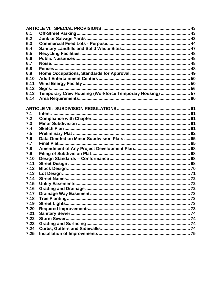| 6.1  |                                                          |  |
|------|----------------------------------------------------------|--|
| 6.2  |                                                          |  |
| 6.3  |                                                          |  |
| 6.4  |                                                          |  |
| 6.5  |                                                          |  |
| 6.6  |                                                          |  |
| 6.7  |                                                          |  |
| 6.8  |                                                          |  |
| 6.9  |                                                          |  |
| 6.10 |                                                          |  |
| 6.11 |                                                          |  |
| 6.12 |                                                          |  |
| 6.13 | Temporary Crew Housing (Workforce Temporary Housing)  57 |  |
| 6.14 |                                                          |  |
|      |                                                          |  |
|      |                                                          |  |
| 7.1  |                                                          |  |
| 7.2  |                                                          |  |
| 7.3  |                                                          |  |
| 7.4  |                                                          |  |
| 7.5  |                                                          |  |
| 7.6  |                                                          |  |
| 7.7  |                                                          |  |
| 7.8  |                                                          |  |
| 7.9  |                                                          |  |
| 7.10 |                                                          |  |
| 7.11 |                                                          |  |
| 7.12 |                                                          |  |
| 7.13 |                                                          |  |
| 7.14 |                                                          |  |
| 7.15 |                                                          |  |
| 7.16 |                                                          |  |
| 7.17 |                                                          |  |
| 7.18 |                                                          |  |
| 7.19 |                                                          |  |
| 7.20 |                                                          |  |
| 7.21 |                                                          |  |
| 7.22 |                                                          |  |
| 7.23 |                                                          |  |
| 7.24 |                                                          |  |
| 7.25 |                                                          |  |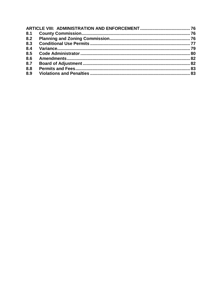| 8.1 |  |
|-----|--|
| 8.2 |  |
| 8.3 |  |
| 8.4 |  |
| 8.5 |  |
| 8.6 |  |
| 8.7 |  |
| 8.8 |  |
| 8.9 |  |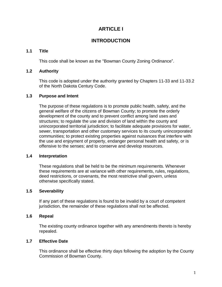## **ARTICLE I**

## **INTRODUCTION**

## <span id="page-4-0"></span>**1.1 Title**

This code shall be known as the "Bowman County Zoning Ordinance".

## <span id="page-4-1"></span>**1.2 Authority**

This code is adopted under the authority granted by Chapters 11-33 and 11-33.2 of the North Dakota Century Code.

## <span id="page-4-2"></span>**1.3 Purpose and Intent**

The purpose of these regulations is to promote public health, safety, and the general welfare of the citizens of Bowman County; to promote the orderly development of the county and to prevent conflict among land uses and structures; to regulate the use and division of land within the county and unincorporated territorial jurisdiction; to facilitate adequate provisions for water, sewer, transportation and other customary services to its county unincorporated communities; to protect existing properties against nuisances that interfere with the use and enjoyment of property, endanger personal health and safety, or is offensive to the senses; and to conserve and develop resources.

## <span id="page-4-3"></span>**1.4 Interpretation**

These regulations shall be held to be the minimum requirements. Whenever these requirements are at variance with other requirements, rules, regulations, deed restrictions, or covenants, the most restrictive shall govern, unless otherwise specifically stated.

## <span id="page-4-4"></span>**1.5 Severability**

If any part of these regulations is found to be invalid by a court of competent jurisdiction, the remainder of these regulations shall not be affected.

## <span id="page-4-5"></span>**1.6 Repeal**

The existing county ordinance together with any amendments thereto is hereby repealed.

## <span id="page-4-6"></span>**1.7 Effective Date**

This ordinance shall be effective thirty days following the adoption by the County Commission of Bowman County.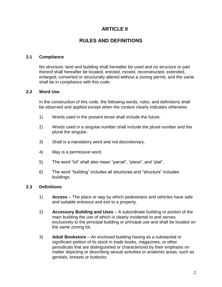## **ARTICLE II**

## **RULES AND DEFINITIONS**

### <span id="page-5-1"></span><span id="page-5-0"></span>**2.1 Compliance**

No structure, land and building shall hereafter be used and no structure or part thereof shall hereafter be located, erected, moved, reconstructed, extended, enlarged, converted or structurally altered without a zoning permit, and the same shall be in compliance with this code.

#### <span id="page-5-2"></span>**2.2 Word Use**

In the construction of this code, the following words, rules, and definitions shall be observed and applied except when the context clearly indicates otherwise.

- 1) Words used in the present tense shall include the future.
- 2) Words used in a singular number shall include the plural number and the plural the singular.
- 3) Shall is a mandatory word and not discretionary.
- 4) May is a permissive word.
- 5) The word "lot" shall also mean "parcel", "piece", and "plat".
- 6) The word "building" includes all structures and "structure" includes buildings.

#### <span id="page-5-3"></span>**2.3 Definitions**

- 1) **Access** The place or way by which pedestrians and vehicles have safe and suitable entrance and exit to a property.
- 2) **Accessory Building and Uses** A subordinate building or portion of the main building the use of which is clearly incidental to and serves exclusively to the principal building or principal use and shall be located on the same zoning lot.
- 3) **Adult Bookstore** An enclosed building having as a substantial or significant portion of its stock in trade books, magazines, or other periodicals that are distinguished or characterized by their emphasis on matter depicting or describing sexual activities or anatomic areas, such as genitals, breasts or buttocks.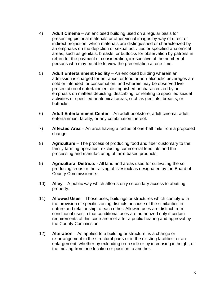- 4) **Adult Cinema** An enclosed building used on a regular basis for presenting pictorial materials or other visual images by way of direct or indirect projection, which materials are distinguished or characterized by an emphasis on the depiction of sexual activities or specified anatomical areas, such as genitals, breasts, or buttocks for observation by patrons in return for the payment of consideration, irrespective of the number of persons who may be able to view the presentation at one time.
- 5) **Adult Entertainment Facility** An enclosed building wherein an admission is charged for entrance, or food or non-alcoholic beverages are sold or intended for consumption, and wherein may be observed live presentation of entertainment distinguished or characterized by an emphasis on matters depicting, describing, or relating to specified sexual activities or specified anatomical areas, such as genitals, breasts, or buttocks.
- 6) **Adult Entertainment Cente**r An adult bookstore, adult cinema, adult entertainment facility, or any combination thereof.
- 7) **Affected Area** An area having a radius of one-half mile from a proposed change.
- 8) **Agriculture** The process of producing food and fiber customary to the family farming operation excluding commercial feed lots and the processing and manufacturing of farm-based products.
- 9) **Agricultural Districts -** All land and areas used for cultivating the soil, producing crops or the raising of livestock as designated by the Board of County Commissioners.
- 10) **Alley** A public way which affords only secondary access to abutting property.
- 11) **Allowed Uses** Those uses, buildings or structures which comply with the provision of specific zoning districts because of the similarities in nature and relationship to each other. Allowed uses are distinct from conditional uses in that conditional uses are authorized only if certain requirements of this code are met after a public hearing and approval by the County Commission.
- 12) **Alteration** As applied to a building or structure, is a change or re-arrangement in the structural parts or in the existing facilities, or an enlargement, whether by extending on a side or by increasing in height, or the moving from one location or position to another.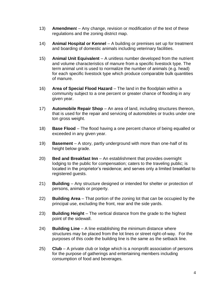- 13) **Amendmen**t Any change, revision or modification of the text of these regulations and the zoning district map.
- 14) **Animal Hospital or Kennel** A building or premises set up for treatment and boarding of domestic animals including veterinary facilities.
- 15) **Animal Unit Equivalent** A unitless number developed from the nutrient and volume characteristics of manure from a specific livestock type. The term animal unit is used to normalize the number of animals (e.g. head) for each specific livestock type which produce comparable bulk quantities of manure.
- 16) **Area of Special Flood Hazard** The land in the floodplain within a community subject to a one percent or greater chance of flooding in any given year.
- 17) **Automobile Repair Shop** An area of land, including structures thereon, that is used for the repair and servicing of automobiles or trucks under one ton gross weight.
- 18) **Base Flood** The flood having a one percent chance of being equalled or exceeded in any given year.
- 19) **Basement** A story, partly underground with more than one-half of its height below grade.
- 20) **Bed and Breakfast Inn** *–* An establishment that provides overnight lodging to the public for compensation; caters to the traveling public; is located in the proprietor's residence; and serves only a limited breakfast to registered guests.
- 21) **Building** Any structure designed or intended for shelter or protection of persons, animals or property.
- 22) **Building Area** That portion of the zoning lot that can be occupied by the principal use, excluding the front, rear and the side yards.
- 23) **Building Height** The vertical distance from the grade to the highest point of the sidewall.
- 24) **Building Line** A line establishing the minimum distance where structures may be placed from the lot lines or street right-of-way. For the purposes of this code the building line is the same as the setback line.
- 25) **Club** A private club or lodge which is a nonprofit association of persons for the purpose of gatherings and entertaining members including consumption of food and beverages.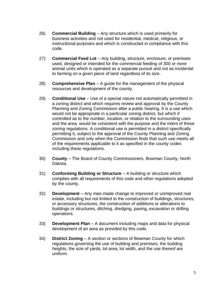- 26) **Commercial Building** Any structure which is used primarily for business activities and not used for residential, medical, religious, or instructional purposes and which is constructed in compliance with this code.
- 27) **Commercial Feed Lot** Any building, structure, enclosure, or premises used, designed or intended for the commercial feeding of 300 or more animal units which is operated as a separate pursuit and not as incidental to farming on a given piece of land regardless of its size.
- 28) **Comprehensive Plan** A guide for the management of the physical resources and development of the county.
- 29) **Conditional Use** Use of a special nature not automatically permitted in a zoning district and which requires review and approval by the County Planning and Zoning Commission after a public hearing. It is a use which would not be appropriate in a particular zoning district, but which if controlled as to the number, location, or relation to the surrounding uses and the area, would be consistent with the purpose and the intent of these zoning regulations. A conditional use is permitted in a district specifically permitting it, subject to the approval of the County Planning and Zoning Commission and only when the Commission finds that such use meets all of the requirements applicable to it as specified in the county codes including these regulations.
- 30) **County** The Board of County Commissioners, Bowman County, North Dakota.
- 31) **Conforming Building or Structure** A building or structure which complies with all requirements of this code and other regulations adopted by the county.
- 32) **Development** Any man-made change to improved or unimproved real estate, including but not limited to the construction of buildings, structures, or accessory structures, the construction of additions or alterations to buildings or structures, ditching, dredging, paving, excavation or drilling operations.
- 33) **Development Plan** A document including maps and data for physical development of an area as provided by this code.
- 34) **District Zoning** A section or sections of Bowman County for which regulations governing the use of building and premises, the building heights, the size of yards, lot area, lot width, and the use thereof are uniform.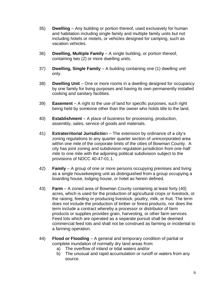- 35) **Dwelling** Any building or portion thereof, used exclusively for human and habitation including single family and multiple family units but not including hotels or motels, or vehicles designed for camping, such as vacation vehicles.
- 36) **Dwelling, Multiple Family** A single building, or portion thereof, containing two (2) or more dwelling units.
- 37) **Dwelling, Single Family** A building containing one (1) dwelling unit only.
- 38) **Dwelling Unit** One or more rooms in a dwelling designed for occupancy by one family for living purposes and having its own permanently installed cooking and sanitary facilities.
- 39) **Easement** A right to the use of land for specific purposes, such right being held by someone other than the owner who holds title to the land.
- 40) **Establishment** A place of business for processing, production, assembly, sales, service of goods and materials.
- 41) **Extraterritorial Jurisdictio**n The extension by ordinance of a city's zoning regulations to any quarter quarter section of unincorporated area within one mile of the corporate limits of the cities of Bowman County. A city has joint zoning and subdivision regulation jurisdiction from one-half mile to one mile with the adjoining political subdivision subject to the provisions of NDCC 40-47-01.1.
- 42) **Family** A group of one or more persons occupying premises and living as a single housekeeping unit as distinguished from a group occupying a boarding house, lodging house, or hotel as herein defined.
- 43) **Farm** A zoned area of Bowman County containing at least forty (40) acres, which is used for the production of agricultural crops or livestock, or the raising, feeding or producing livestock, poultry, milk, or fruit. The term does not include the production of timber or forest products, nor does the term include a contract whereby a processor or distributor of farm products or supplies provides grain, harvesting, or other farm services. Feed lots which are operated as a separate pursuit shall be deemed commercial feed lots and shall not be construed as farming or incidental to a farming operation.
- 44) **Flood or Flooding** A general and temporary condition of partial or complete inundation of normally dry land areas from:
	- a) The overflow of inland or tidal waters and/or
	- b) The unusual and rapid accumulation or runoff or waters from any source.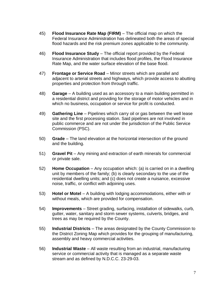- 45) **Flood Insurance Rate Map (FIRM)** The official map on which the Federal Insurance Administration has delineated both the areas of special flood hazards and the risk premium zones applicable to the community.
- 46) **Flood Insurance Study** The official report provided by the Federal Insurance Administration that includes flood profiles, the Flood Insurance Rate Map, and the water surface elevation of the base flood.
- 47) **Frontage or Service Road** Minor streets which are parallel and adjacent to arterial streets and highways, which provide access to abutting properties and protection from through traffic.
- 48) **Garage** A building used as an accessory to a main building permitted in a residential district and providing for the storage of motor vehicles and in which no business, occupation or service for profit is conducted.
- 49) **Gathering Line** Pipelines which carry oil or gas between the well lease site and the first processing station. Said pipelines are not involved in public commerce and are not under the jurisdiction of the Public Service Commission (PSC).
- 50) **Grade** The land elevation at the horizontal intersection of the ground and the building.
- 51) **Gravel Pit** Any mining and extraction of earth minerals for commercial or private sale.
- 52) **Home Occupation** Any occupation which: (a) is carried on in a dwelling unit by members of the family; (b) is clearly secondary to the use of the residential dwelling units; and (c) does not create a nuisance, excessive noise, traffic, or conflict with adjoining uses.
- 53) **Hotel or Motel** A building with lodging accommodations, either with or without meals, which are provided for compensation.
- 54) **Improvements** Street grading, surfacing, installation of sidewalks, curb, gutter, water, sanitary and storm sewer systems, culverts, bridges, and trees as may be required by the County.
- 55) **Industrial Districts** The areas designated by the County Commission to the District Zoning Map which provides for the grouping of manufacturing, assembly and heavy commercial activities.
- 56) **Industrial Waste** All waste resulting from an industrial, manufacturing service or commercial activity that is managed as a separate waste stream and as defined by N.D.C.C. 23-29-03.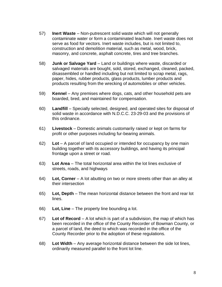- 57) **Inert Waste** Non-putrescent solid waste which will not generally contaminate water or form a contaminated leachate. Inert waste does not serve as food for vectors. Inert waste includes, but is not limited to, construction and demolition material, such as metal, wood, brick, masonry, and concrete, asphalt concrete, tires and tree branches.
- 58) **Junk or Salvage Yard** Land or buildings where waste, discarded or salvaged materials are bought, sold, stored, exchanged, cleaned, packed, disassembled or handled including but not limited to scrap metal, rags, paper, hides, rubber products, glass products, lumber products and products resulting from the wrecking of automobiles or other vehicles.
- 59) **Kennel** Any premises where dogs, cats, and other household pets are boarded, bred, and maintained for compensation.
- 60) **Landfill** Specially selected, designed, and operated sites for disposal of solid waste in accordance with N.D.C.C. 23-29-03 and the provisions of this ordinance.
- 61) **Livestock** Domestic animals customarily raised or kept on farms for profit or other purposes including fur-bearing animals.
- 62) **Lot** A parcel of land occupied or intended for occupancy by one main building together with its accessory buildings, and having its principal frontage upon a street or road.
- 63) **Lot Area** The total horizontal area within the lot lines exclusive of streets, roads, and highways
- 64) **Lot, Corner** A lot abutting on two or more streets other than an alley at their intersection
- 65) **Lot, Depth** The mean horizontal distance between the front and rear lot lines.
- 66) **Lot, Line** The property line bounding a lot.
- 67) **Lot of Record** A lot which is part of a subdivision, the map of which has been recorded in the office of the County Recorder of Bowman County, or a parcel of land, the deed to which was recorded in the office of the County Recorder prior to the adoption of these regulations.
- 68) **Lot Width** Any average horizontal distance between the side lot lines, ordinarily measured parallel to the front lot line.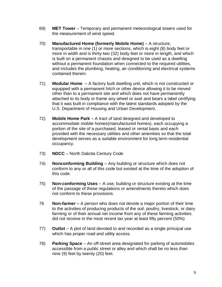- 69) **MET Tower** Temporary and permanent meteorological towers used for the measurement of wind speed.
- 70) **Manufactured Home (formerly Mobile Home)** A structure, transportable in one (1) or more sections, which is eight (8) body feet or more in width and is thirty-two (32) body feet or more in length, and which is built on a permanent chassis and designed to be used as a dwelling without a permanent foundation when connected to the required utilities, and includes the plumbing, heating, air-conditioning and electrical systems contained therein.
- 71) **Modular Home** A factory built dwelling unit, which is not constructed or equipped with a permanent hitch or other device allowing it to be moved other than to a permanent site and which does not have permanently attached to its body or frame any wheel or axel and bears a label certifying that it was built in compliance with the latest standards adopted by the U.S. Department of Housing and Urban Development.
- 72) **Mobile Home Park** A tract of land designed and developed to accommodate mobile homes(manufactured homes), each occupying a portion of the site of a purchased, leased or rental basis and each provided with the necessary utilities and other amenities so that the total development serves as a suitable environment for long term residential occupancy.
- 73) **NDCC** North Dakota Century Code
- 74) **Nonconforming Building** Any building or structure which does not conform to any or all of this code but existed at the time of the adoption of this code.
- 75) **Non-conforming Uses** A use, building or structure existing at the time of the passage of these regulations or amendments thereto which does not conform to these provisions.
- 76 **Non-farmer –** A person who does not devote a major portion of their time to the activities of producing products of the soil, poultry, livestock, or dairy farming or of their annual net income from any of these farming activities. did not receive in the most recent tax year at least fifty percent (50%)
- 77) **Outlot** A plot of land devoted to and recorded as a single principal use which has proper road and utility access.
- 78) **Parking Space** An off-street area designated for parking of automobiles accessible from a public street or alley and which shall be no less than nine (9) feet by twenty (20) feet.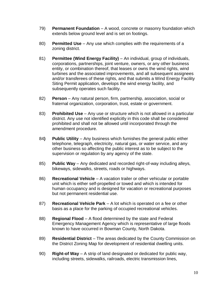- 79) **Permanent Foundation** A wood, concrete or masonry foundation which extends below ground level and is set on footings.
- 80) **Permitted Use** Any use which complies with the requirements of a zoning district.
- 81) **Permittee (Wind Energy Facility)**  An individual, group of individuals, corporations, partnerships, joint venture, owners, or any other business entity, or combination thereof, that leases or owns the wind rights, wind turbines and the associated improvements, and all subsequent assignees and/or transferees of these rights, and that submits a Wind Energy Facility Siting Permit application, develops the wind energy facility, and subsequently operates such facility.
- 82) **Person** Any natural person, firm, partnership, association, social or fraternal organization, corporation, trust, estate or government.
- 83) **Prohibited Use** Any use or structure which is not allowed in a particular district. Any use not identified explicitly in this code shall be considered prohibited and shall not be allowed until incorporated through the amendment procedure.
- 84**) Public Utility** Any business which furnishes the general public either telephone, telegraph, electricity, natural gas, or water service, and any other business so affecting the public interest as to be subject to the supervision or regulation by any agency of the state.
- 85) **Public Way** Any dedicated and recorded right-of-way including alleys, bikeways, sidewalks, streets, roads or highways.
- 86) **Recreational Vehicle** A vacation trailer or other vehicular or portable unit which is either self-propelled or towed and which is intended for human occupancy and is designed for vacation or recreational purposes but not permanent residential use.
- 87) **Recreational Vehicle Park** A lot which is operated on a fee or other basis as a place for the parking of occupied recreational vehicles.
- 88) **Regional Flood** A flood determined by the state and Federal Emergency Management Agency which is representative of large floods known to have occurred in Bowman County, North Dakota.
- 89) **Residential District** The areas dedicated by the County Commission on the District Zoning Map for development of residential dwelling units.
- 90) **Right-of Way** A strip of land designated or dedicated for public way, including streets, sidewalks, railroads, electric transmission lines,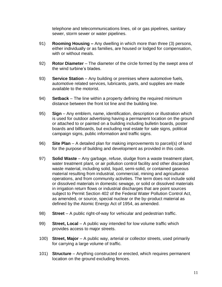telephone and telecommunications lines, oil or gas pipelines, sanitary sewer, storm sewer or water pipelines.

- 91) **Rooming Housing –** Any dwelling in which more than three (3) persons, either individually or as families, are housed or lodged for compensation, with or without meals.
- 92) **Rotor Diameter** The diameter of the circle formed by the swept area of the wind turbine's blades.
- 93) **Service Station** Any building or premises where automotive fuels, automotive related services, lubricants, parts, and supplies are made available to the motorist.
- 94) **Setback** The line within a property defining the required minimum distance between the front lot line and the building line.
- 95) **Sign** Any emblem, name, identification, description or illustration which is used for outdoor advertising having a permanent location on the ground or attached to or painted on a building including bulletin boards, poster boards and billboards, but excluding real estate for sale signs, political campaign signs, public information and traffic signs.
- 96) **Site Plan** A detailed plan for making improvements to parcel(s) of land for the purpose of building and development as provided in this code.
- 97) **Solid Waste** Any garbage, refuse, sludge from a waste treatment plant, water treatment plant, or air pollution control facility and other discarded waste material, including solid, liquid, semi-solid, or contained gaseous material resulting from industrial, commercial, mining and agricultural operations, and from community activities. The term does not include solid or dissolved materials in domestic sewage, or solid or dissolved materials in irrigation return flows or industrial discharges that are point sources subject to Permit Section 402 of the Federal Water Pollution Control Act, as amended, or source, special nuclear or the by-product material as defined by the Atomic Energy Act of 1954, as amended.
- 98) **Street** A public right-of-way for vehicular and pedestrian traffic.
- 99) **Street, Local** A public way intended for low volume traffic which provides access to major streets.
- 100) **Street, Major** A public way, arterial or collector streets, used primarily for carrying a large volume of traffic.
- 101) **Structure** Anything constructed or erected, which requires permanent location on the ground excluding fences.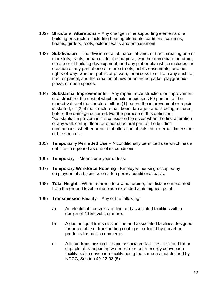- 102) **Structural Alterations** Any change in the supporting elements of a building or structure including bearing elements, partitions, columns, beams, girders, roofs, exterior walls and embankment.
- 103) **Subdivision** The division of a lot, parcel of land, or tract, creating one or more lots, tracts, or parcels for the purpose, whether immediate or future, of sale or of building development, and any plat or plan which includes the creation of any part of one or more streets, public easements, or other rights-of-way, whether public or private, for access to or from any such lot, tract or parcel, and the creation of new or enlarged parks, playgrounds, plaza, or open spaces.
- 104) **Substantial Improvements** Any repair, reconstruction, or improvement of a structure, the cost of which equals or exceeds 50 percent of the market value of the structure either: (1) before the improvement or repair is started, or (2) if the structure has been damaged and is being restored, before the damage occurred. For the purpose of this definition, "substantial improvement" is considered to occur when the first alteration of any wall, ceiling, floor, or other structural part of the building commences, whether or not that alteration affects the external dimensions of the structure.
- 105) **Temporarily Permitted Use** A conditionally permitted use which has a definite time period as one of its conditions.
- 106) **Temporary** Means one year or less.
- 107) **Temporary Workforce Housing** Employee housing occupied by employees of a business on a temporary conditional basis.
- 108) **Total Heigh**t When referring to a wind turbine, the distance measured from the ground level to the blade extended at its highest point.
- 109) **Transmission Facility**  Any of the following:
	- a) An electrical transmission line and associated facilities with a design of 40 kilovolts or more.
	- b) A gas or liquid transmission line and associated facilities designed for or capable of transporting coal, gas, or liquid hydrocarbon products for public commerce.
	- c) A liquid transmission line and associated facilities designed for or capable of transporting water from or to an energy conversion facility, said conversion facility being the same as that defined by NDCC, Section 49-22-03 (5).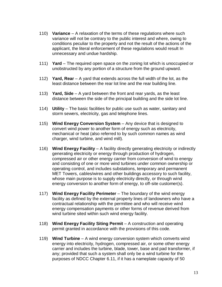- 110) **Variance** A relaxation of the terms of these regulations where such variance will not be contrary to the public interest and where, owing to conditions peculiar to the property and not the result of the actions of the applicant, the literal enforcement of these regulations would result In unnecessary and undue hardship.
- 111) **Yard** The required open space on the zoning lot which is unoccupied or unobstructed by any portion of a structure from the ground upward.
- 112) **Yard, Rear** A yard that extends across the full width of the lot, as the least distance between the rear lot line and the rear building line.
- 113) **Yard, Side** A yard between the front and rear yards, as the least distance between the side of the principal building and the side lot line.
- 114) **Utility** The basic facilities for public use such as water, sanitary and storm sewers, electricity, gas and telephone lines.
- 115) **Wind Energy Conversion System** Any device that is designed to convert wind power to another form of energy such as electricity, mechanical or heat (also referred to by such common names as wind charger, wind turbine, and wind mill).
- 116) **Wind Energy Facility** A facility directly generating electricity or indirectly generating electricity or energy through production of hydrogen, compressed air or other energy carrier from conversion of wind to energy and consisting of one or more wind turbines under common ownership or operating control, and includes substations, temporary and permanent MET Towers, cables/wires and other buildings accessory to such facility, whose main purpose is to supply electricity directly, or through wind energy conversion to another form of energy, to off-site customer(s).
- 117) **Wind Energy Facility Perimeter** The boundary of the wind energy facility as defined by the external property lines of landowners who have a contractual relationship with the permittee and who will receive wind energy compensation payments or other forms of revenue derived from wind turbine sited within such wind energy facility.
- 118) **Wind Energy Facility Siting Permit** A construction and operating permit granted in accordance with the provisions of this code.
- 119) **Wind Turbine** A wind energy conversion system which converts wind energy into electricity, hydrogen, compressed air, or some other energy carrier and includes the turbine, blade, tower, base and pad transformer, if any; provided that such a system shall only be a wind turbine for the purposes of NDCC Chapter 6.11, if it has a nameplate capacity of 50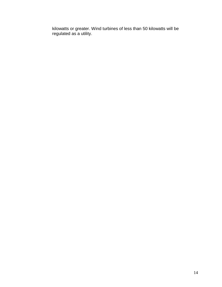kilowatts or greater. Wind turbines of less than 50 kilowatts will be regulated as a utility.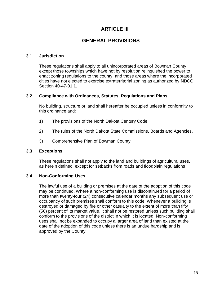## **ARTICLE III**

## **GENERAL PROVISIONS**

#### <span id="page-18-1"></span><span id="page-18-0"></span>**3.1 Jurisdiction**

These regulations shall apply to all unincorporated areas of Bowman County, except those townships which have not by resolution relinquished the power to enact zoning regulations to the county, and those areas where the incorporated cities have not elected to exercise extraterritorial zoning as authorized by NDCC Section 40-47-01.1.

#### <span id="page-18-2"></span>**3.2 Compliance with Ordinances, Statutes, Regulations and Plans**

No building, structure or land shall hereafter be occupied unless in conformity to this ordinance and:

- 1) The provisions of the North Dakota Century Code.
- 2) The rules of the North Dakota State Commissions, Boards and Agencies.
- 3) Comprehensive Plan of Bowman County.

## <span id="page-18-3"></span>**3.3 Exceptions**

These regulations shall not apply to the land and buildings of agricultural uses, as herein defined, except for setbacks from roads and floodplain regulations.

## <span id="page-18-4"></span>**3.4 Non-Conforming Uses**

The lawful use of a building or premises at the date of the adoption of this code may be continued. Where a non-conforming use is discontinued for a period of more than twenty-four (24) consecutive calendar months any subsequent use or occupancy of such premises shall conform to this code. Whenever a building is destroyed or damaged by fire or other casualty to the extent of more than fifty (50) percent of its market value, it shall not be restored unless such building shall conform to the provisions of the district in which it is located. Non-conforming uses shall not be expanded to occupy a larger area of land than existed at the date of the adoption of this code unless there is an undue hardship and is approved by the County.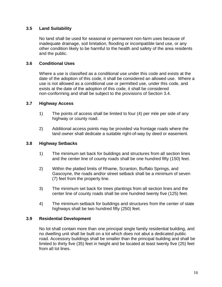## <span id="page-19-0"></span>**3.5 Land Suitability**

No land shall be used for seasonal or permanent non-farm uses because of inadequate drainage, soil limitation, flooding or incompatible land use, or any other condition likely to be harmful to the health and safety of the area residents and the public.

#### <span id="page-19-1"></span>**3.6 Conditional Uses**

Where a use is classified as a conditional use under this code and exists at the date of the adoption of this code, it shall be considered an allowed use. Where a use is not allowed as a conditional use or permitted use, under this code, and exists at the date of the adoption of this code, it shall be considered non-conforming and shall be subject to the provisions of Section 3.4.

#### <span id="page-19-2"></span>**3.7 Highway Access**

- 1) The points of access shall be limited to four (4) per mile per side of any highway or county road.
- 2) Additional access points may be provided via frontage roads where the land owner shall dedicate a suitable right-of-way by deed or easement.

#### <span id="page-19-3"></span>**3.8 Highway Setbacks**

- 1) The minimum set back for buildings and structures from all section lines and the center line of county roads shall be one hundred fifty (150) feet.
- 2) Within the platted limits of Rhame, Scranton, Buffalo Springs, and Gascoyne, the roads and/or street setback shall be a minimum of seven (7) feet from the property line.
- 3) The minimum set back for trees plantings from all section lines and the center line of county roads shall be one hundred twenty five (125) feet.
- 4) The minimum setback for buildings and structures from the center of state highways shall be two hundred fifty (250) feet.

#### <span id="page-19-4"></span>**3.9 Residential Development**

No lot shall contain more than one principal single family residential building, and no dwelling unit shall be built on a lot which does not abut a dedicated public road. Accessory buildings shall be smaller than the principal building and shall be limited to thirty five (35) feet in height and be located at least twenty five (25) feet from all lot lines.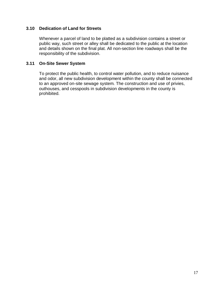#### <span id="page-20-0"></span>**3.10 Dedication of Land for Streets**

Whenever a parcel of land to be platted as a subdivision contains a street or public way, such street or alley shall be dedicated to the public at the location and details shown on the final plat. All non-section line roadways shall be the responsibility of the subdivision.

#### <span id="page-20-1"></span>**3.11 On-Site Sewer System**

To protect the public health, to control water pollution, and to reduce nuisance and odor, all new subdivision development within the county shall be connected to an approved on-site sewage system. The construction and use of privies, outhouses, and cesspools in subdivision developments in the county is prohibited.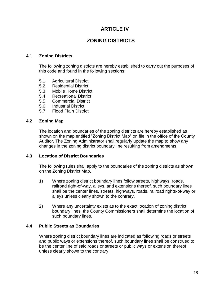## **ARTICLE IV**

## **ZONING DISTRICTS**

#### <span id="page-21-1"></span><span id="page-21-0"></span>**4.1 Zoning Districts**

The following zoning districts are hereby established to carry out the purposes of this code and found in the following sections:

- 5.1 Agricultural District
- 5.2 Residential District
- 5.3 Mobile Home District
- 5.4 Recreational District
- 5.5 Commercial District
- 5.6 Industrial District
- 5.7 Flood Plain District

#### <span id="page-21-2"></span>**4.2 Zoning Map**

The location and boundaries of the zoning districts are hereby established as shown on the map entitled "Zoning District Map" on file in the office of the County Auditor. The Zoning Administrator shall regularly update the map to show any changes in the zoning district boundary line resulting from amendments.

#### <span id="page-21-3"></span>**4.3 Location of District Boundaries**

The following rules shall apply to the boundaries of the zoning districts as shown on the Zoning District Map.

- 1) Where zoning district boundary lines follow streets, highways, roads, railroad right-of-way, alleys, and extensions thereof, such boundary lines shall be the center lines, streets, highways, roads, railroad rights-of-way or alleys unless clearly shown to the contrary.
- 2) Where any uncertainty exists as to the exact location of zoning district boundary lines, the County Commissioners shall determine the location of such boundary lines.

#### <span id="page-21-4"></span>**4.4 Public Streets as Boundaries**

Where zoning district boundary lines are indicated as following roads or streets and public ways or extensions thereof, such boundary lines shall be construed to be the center line of said roads or streets or public ways or extension thereof unless clearly shown to the contrary.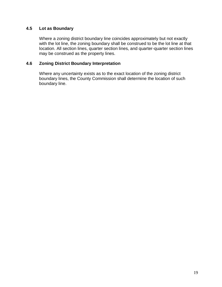## <span id="page-22-0"></span>**4.5 Lot as Boundary**

Where a zoning district boundary line coincides approximately but not exactly with the lot line, the zoning boundary shall be construed to be the lot line at that location. All section lines, quarter section lines, and quarter-quarter section lines may be construed as the property lines.

#### <span id="page-22-1"></span>**4.6 Zoning District Boundary Interpretation**

Where any uncertainty exists as to the exact location of the zoning district boundary lines, the County Commission shall determine the location of such boundary line.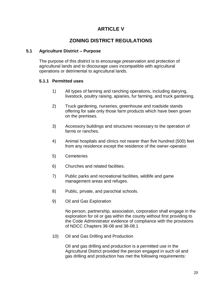## **ARTICLE V**

## **ZONING DISTRICT REGULATIONS**

## <span id="page-23-1"></span><span id="page-23-0"></span>**5.1 Agriculture District – Purpose**

The purpose of this district is to encourage preservation and protection of agricultural lands and to discourage uses incompatible with agricultural operations or detrimental to agricultural lands.

## **5.1.1 Permitted uses**

- 1) All types of farming and ranching operations, including dairying, livestock, poultry raising, apiaries, fur farming, and truck gardening.
- 2) Truck gardening, nurseries, greenhouse and roadside stands offering for sale only those farm products which have been grown on the premises.
- 3) Accessory buildings and structures necessary to the operation of farms or ranches.
- 4) Animal hospitals and clinics not nearer than five hundred (500) feet from any residence except the residence of the owner-operator.
- 5) Cemeteries
- 6) Churches and related facilities.
- 7) Public parks and recreational facilities, wildlife and game management areas and refuges.
- 8) Public, private, and parochial schools.
- 9) Oil and Gas Exploration

No person, partnership, association, corporation shall engage in the exploration for oil or gas within the county without first providing to the Code Administrator evidence of compliance with the provisions of NDCC Chapters 38-08 and 38-08.1

10) Oil and Gas Drilling and Production

Oil and gas drilling and production is a permitted use in the Agricultural District provided the person engaged in such oil and gas drilling and production has met the following requirements: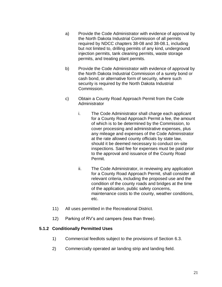- a) Provide the Code Administrator with evidence of approval by the North Dakota Industrial Commission of all permits required by NDCC chapters 38-08 and 38-08.1, including but not limited to, drilling permits of any kind, underground injection permits, tank cleaning permits, waste storage permits, and treating plant permits.
- b) Provide the Code Administrator with evidence of approval by the North Dakota Industrial Commission of a surety bond or cash bond, or alternative form of security, where such security is required by the North Dakota Industrial Commission.
- c) Obtain a County Road Approach Permit from the Code **Administrator** 
	- i. The Code Administrator shall charge each applicant for a County Road Approach Permit a fee, the amount of which is to be determined by the Commission, to cover processing and administrative expenses, plus any mileage and expenses of the Code Administrator at the rate allowed county officials by state law, should it be deemed necessary to conduct on-site inspections. Said fee for expenses must be paid prior to the approval and issuance of the County Road Permit.
	- ii. The Code Administrator, in reviewing any application for a County Road Approach Permit, shall consider all relevant criteria, including the proposed use and the condition of the county roads and bridges at the time of the application, public safety concerns, maintenance costs to the county, weather conditions, etc.
- 11) All uses permitted in the Recreational District.
- 12) Parking of RV's and campers (less than three).

## **5.1.2 Conditionally Permitted Uses**

- 1) Commercial feedlots subject to the provisions of Section 6.3.
- 2) Commercially operated air landing strip and landing field.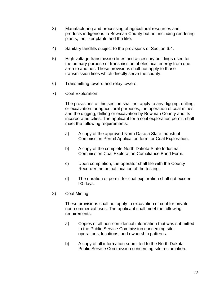- 3) Manufacturing and processing of agricultural resources and products indigenous to Bowman County but not including rendering plants, fertilizer plants and the like.
- 4) Sanitary landfills subject to the provisions of Section 6.4.
- 5) High voltage transmission lines and accessory buildings used for the primary purpose of transmission of electrical energy from one area to another. These provisions shall not apply to those transmission lines which directly serve the county.
- 6) Transmitting towers and relay towers.
- 7) Coal Exploration.

The provisions of this section shall not apply to any digging, drilling, or excavation for agricultural purposes, the operation of coal mines and the digging, drilling or excavation by Bowman County and its incorporated cities. The applicant for a coal exploration permit shall meet the following requirements:

- a) A copy of the approved North Dakota State Industrial Commission Permit Application form for Coal Exploration.
- b) A copy of the complete North Dakota State Industrial Commission Coal Exploration Compliance Bond Form.
- c) Upon completion, the operator shall file with the County Recorder the actual location of the testing.
- d) The duration of permit for coal exploration shall not exceed 90 days.
- 8) Coal Mining

These provisions shall not apply to excavation of coal for private non-commercial uses. The applicant shall meet the following requirements:

- a) Copies of all non-confidential information that was submitted to the Public Service Commission concerning site operations, locations, and ownership patterns.
- b) A copy of all information submitted to the North Dakota Public Service Commission concerning site reclamation.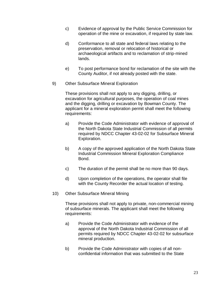- c) Evidence of approval by the Public Service Commission for operation of the mine or excavation, if required by state law.
- d) Conformance to all state and federal laws relating to the preservation, removal or relocation of historical or archaeological artifacts and to reclamation of strip-mined lands.
- e) To post performance bond for reclamation of the site with the County Auditor, if not already posted with the state.
- 9) Other Subsurface Mineral Exploration

These provisions shall not apply to any digging, drilling, or excavation for agricultural purposes, the operation of coal mines and the digging, drilling or excavation by Bowman County. The applicant for a mineral exploration permit shall meet the following requirements:

- a) Provide the Code Administrator with evidence of approval of the North Dakota State Industrial Commission of all permits required by NDCC Chapter 43-02-02 for Subsurface Mineral Exploration.
- b) A copy of the approved application of the North Dakota State Industrial Commission Mineral Exploration Compliance Bond.
- c) The duration of the permit shall be no more than 90 days.
- d) Upon completion of the operations, the operator shall file with the County Recorder the actual location of testing.
- 10) Other Subsurface Mineral Mining

These provisions shall not apply to private, non-commercial mining of subsurface minerals. The applicant shall meet the following requirements:

- a) Provide the Code Administrator with evidence of the approval of the North Dakota Industrial Commission of all permits required by NDCC Chapter 43-02-02 for subsurface mineral production.
- b) Provide the Code Administrator with copies of all nonconfidential information that was submitted to the State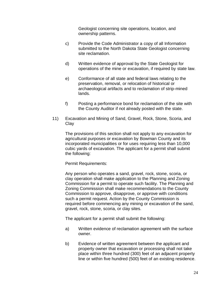Geologist concerning site operations, location, and ownership patterns.

- c) Provide the Code Administrator a copy of all Information submitted to the North Dakota State Geologist concerning site reclamation.
- d) Written evidence of approval by the State Geologist for operations of the mine or excavation, if required by state law.
- e) Conformance of all state and federal laws relating to the preservation, removal, or relocation of historical or archaeological artifacts and to reclamation of strip-mined lands.
- f) Posting a performance bond for reclamation of the site with the County Auditor if not already posted with the state.
- 11) Excavation and Mining of Sand, Gravel, Rock, Stone, Scoria, and **Clay**

The provisions of this section shall not apply to any excavation for agricultural purposes or excavation by Bowman County and its incorporated municipalities or for uses requiring less than 10,000 cubic yards of excavation. The applicant for a permit shall submit the following:

Permit Requirements:

Any person who operates a sand, gravel, rock, stone, scoria, or clay operation shall make application to the Planning and Zoning Commission for a permit to operate such facility. The Planning and Zoning Commission shall make recommendations to the County Commission to approve, disapprove, or approve with conditions such a permit request. Action by the County Commission is required before commencing any mining or excavation of the sand, gravel, rock, stone, scoria, or clay sites.

The applicant for a permit shall submit the following:

- a) Written evidence of reclamation agreement with the surface owner.
- b) Evidence of written agreement between the applicant and property owner that excavation or processing shall not take place within three hundred (300) feet of an adjacent property line or within five hundred (500) feet of an existing residence.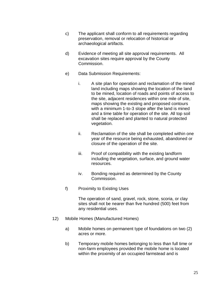- c) The applicant shall conform to all requirements regarding preservation, removal or relocation of historical or archaeological artifacts.
- d) Evidence of meeting all site approval requirements. All excavation sites require approval by the County Commission.
- e) Data Submission Requirements:
	- i. A site plan for operation and reclamation of the mined land including maps showing the location of the land to be mined, location of roads and points of access to the site, adjacent residences within one mile of site, maps showing the existing and proposed contours with a minimum 1-to-3 slope after the land is mined and a time table for operation of the site. All top soil shall be replaced and planted to natural protected vegetation.
	- ii. Reclamation of the site shall be completed within one year of the resource being exhausted, abandoned or closure of the operation of the site.
	- iii. Proof of compatibility with the existing landform including the vegetation, surface, and ground water resources.
	- iv. Bonding required as determined by the County Commission.
- f) Proximity to Existing Uses

The operation of sand, gravel, rock, stone, scoria, or clay sites shall not be nearer than five hundred (500) feet from any residential uses.

- 12) Mobile Homes (Manufactured Homes)
	- a) Mobile homes on permanent type of foundations on two (2) acres or more.
	- b) Temporary mobile homes belonging to less than full time or non-farm employees provided the mobile home is located within the proximity of an occupied farmstead and is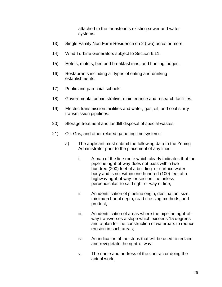attached to the farmstead's existing sewer and water systems.

- 13) Single Family Non-Farm Residence on 2 (two) acres or more.
- 14) Wind Turbine Generators subject to Section 6.11.
- 15) Hotels, motels, bed and breakfast inns, and hunting lodges.
- 16) Restaurants including all types of eating and drinking establishments.
- 17) Public and parochial schools.
- 18) Governmental administrative, maintenance and research facilities.
- 19) Electric transmission facilities and water, gas, oil, and coal slurry transmission pipelines.
- 20) Storage treatment and landfill disposal of special wastes.
- 21) Oil, Gas, and other related gathering line systems:
	- a) The applicant must submit the following data to the Zoning Administrator prior to the placement of any lines:
		- i. A map of the line route which clearly indicates that the pipeline right-of-way does not pass within two hundred (200) feet of a building or surface water body and is not within one hundred (100) feet of a highway right-of way or section line unless perpendicular to said right-or way or line;
		- ii. An identification of pipeline origin, destination, size, minimum burial depth, road crossing methods, and product;
		- iii. An identification of areas where the pipeline right-ofway transverses a slope which exceeds 15 degrees and a plan for the construction of waterbars to reduce erosion in such areas;
		- iv. An indication of the steps that will be used to reclaim and revegetate the right-of way;
		- v. The name and address of the contractor doing the actual work;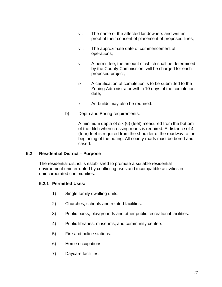- vi. The name of the affected landowners and written proof of their consent of placement of proposed lines;
- vii. The approximate date of commencement of operations;
- viii. A permit fee, the amount of which shall be determined by the County Commission, will be charged for each proposed project;
- ix. A certification of completion is to be submitted to the Zoning Administrator within 10 days of the completion date;
- x. As-builds may also be required.
- b) Depth and Boring requirements:

A minimum depth of six (6) (feet) measured from the bottom of the ditch when crossing roads is required. A distance of 4 (four) feet is required from the shoulder of the roadway to the beginning of the boring. All county roads must be bored and cased.

## <span id="page-30-0"></span>**5.2 Residential District – Purpose**

The residential district is established to promote a suitable residential environment uninterrupted by conflicting uses and incompatible activities in unincorporated communities.

## **5.2.1 Permitted Uses:**

- 1) Single family dwelling units.
- 2) Churches, schools and related facilities.
- 3) Public parks, playgrounds and other public recreational facilities.
- 4) Public libraries, museums, and community centers.
- 5) Fire and police stations.
- 6) Home occupations.
- 7) Daycare facilities.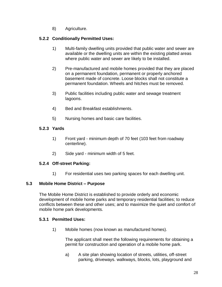8) Agriculture.

## **5.2.2 Conditionally Permitted Uses:**

- 1) Multi-family dwelling units provided that public water and sewer are available or the dwelling units are within the existing platted areas where public water and sewer are likely to be installed.
- 2) Pre-manufactured and mobile homes provided that they are placed on a permanent foundation, permanent or properly anchored basement made of concrete. Loose blocks shall not constitute a permanent foundation. Wheels and hitches must be removed.
- 3) Public facilities including public water and sewage treatment lagoons.
- 4) Bed and Breakfast establishments.
- 5) Nursing homes and basic care facilities.

## **5.2.3 Yards**

- 1) Front yard minimum depth of 70 feet (103 feet from roadway centerline).
- 2) Side yard minimum width of 5 feet.

## **5.2.4 Off-street Parking:**

1) For residential uses two parking spaces for each dwelling unit.

## <span id="page-31-0"></span>**5.3 Mobile Home District – Purpose**

The Mobile Home District is established to provide orderly and economic development of mobile home parks and temporary residential facilities; to reduce conflicts between these and other uses; and to maximize the quiet and comfort of mobile home park developments.

## **5.3.1 Permitted Uses:**

1) Mobile homes (now known as manufactured homes).

The applicant shall meet the following requirements for obtaining a permit for construction and operation of a mobile home park.

a) A site plan showing location of streets, utilities, off-street parking, driveways. walkways, blocks, lots, playground and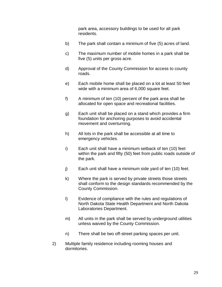park area, accessory buildings to be used for all park residents.

- b) The park shall contain a minimum of five (5) acres of land.
- c) The maximum number of mobile homes in a park shall be five (5) units per gross acre.
- d) Approval of the County Commission for access to county roads.
- e) Each mobile home shall be placed on a lot at least 50 feet wide with a minimum area of 6,000 square feet.
- f) A minimum of ten (10) percent of the park area shall be allocated for open space and recreational facilities.
- g) Each unit shall be placed on a stand which provides a firm foundation for anchoring purposes to avoid accidental movement and overturning.
- h) All lots in the park shall be accessible at all time to emergency vehicles.
- i) Each unit shall have a minimum setback of ten (10) feet within the park and fifty (50) feet from public roads outside of the park.
- j) Each unit shall have a minimum side yard of ten (10) feet.
- k) Where the park is served by private streets those streets shall conform to the design standards recommended by the County Commission.
- l) Evidence of compliance with the rules and regulations of North Dakota State Health Department and North Dakota Laboratories Department.
- m) All units in the park shall be served by underground utilities unless waived by the County Commission.
- n) There shall be two off-street parking spaces per unit.
- 2) Multiple family residence including rooming houses and dormitories.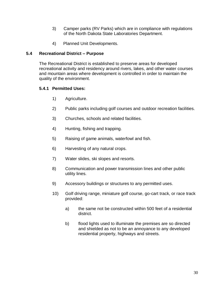- 3) Camper parks (RV Parks) which are in compliance with regulations of the North Dakota State Laboratories Department.
- 4) Planned Unit Developments.

## <span id="page-33-0"></span>**5.4 Recreational District – Purpose**

The Recreational District is established to preserve areas for developed recreational activity and residency around rivers, lakes, and other water courses and mountain areas where development is controlled in order to maintain the quality of the environment.

## **5.4.1 Permitted Uses:**

- 1) Agriculture.
- 2) Public parks including golf courses and outdoor recreation facilities.
- 3) Churches, schools and related facilities.
- 4) Hunting, fishing and trapping.
- 5) Raising of game animals, waterfowl and fish.
- 6) Harvesting of any natural crops.
- 7) Water slides, ski slopes and resorts.
- 8) Communication and power transmission lines and other public utility lines.
- 9) Accessory buildings or structures to any permitted uses.
- 10) Golf driving range, miniature golf course, go-cart track, or race track provided:
	- a) the same not be constructed within 500 feet of a residential district.
	- b) flood lights used to illuminate the premises are so directed and shielded as not to be an annoyance to any developed residential property, highways and streets.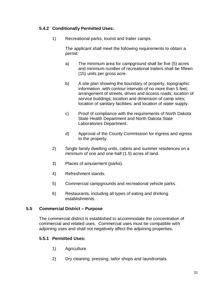## **5.4.2 Conditionally Permitted Uses:**

1) Recreational parks, tourist and trailer camps.

The applicant shall meet the following requirements to obtain a permit:

- a) The minimum area for campground shall be five (5) acres and minimum number of recreational trailers shall be fifteen (15) units per gross acre.
- b) A site plan showing the boundary of property, topographic information with contour intervals of no more than 5 feet; arrangement of streets, drives and access roads; location of service buildings; location and dimension of camp sites; location of sanitary facilities; and location of water supply.
- c) Proof of compliance with the requirements of North Dakota State Health Department and North Dakota State Laboratories Department.
- d) Approval of the County Commission for ingress and egress to the property.
- 2) Single family dwelling units, cabins and summer residences on a minimum of one and one-half (1.5) acres of land.
- 3) Places of amusement (parks).
- 4) Refreshment stands.
- 5) Commercial campgrounds and recreational vehicle parks.
- 6) Restaurants, including all types of eating and drinking establishments.

## <span id="page-34-0"></span>**5.5 Commercial District – Purpose**

The commercial district is established to accommodate the concentration of commercial and related uses. Commercial uses must be compatible with adjoining uses and shall not negatively affect the adjoining properties.

## **5.5.1 Permitted Uses:**

- 1) Agriculture.
- 2) Dry cleaning, pressing, tailor shops and laundromats.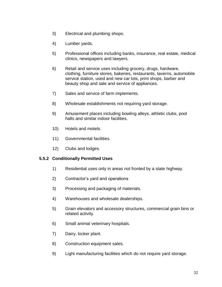- 3) Electrical and plumbing shops.
- 4) Lumber yards.
- 5) Professional offices including banks, insurance, real estate, medical clinics, newspapers and lawyers.
- 6) Retail and service uses including grocery, drugs, hardware, clothing, furniture stores, bakeries, restaurants, taverns, automobile service station, used and new car lots, print shops, barber and beauty shop and sale and service of appliances.
- 7) Sales and service of farm implements.
- 8) Wholesale establishments not requiring yard storage.
- 9) Amusement places including bowling alleys, athletic clubs, pool halls and similar indoor facilities.
- 10) Hotels and motels.
- 11) Governmental facilities.
- 12) Clubs and lodges.

## **5.5.2 Conditionally Permitted Uses**

- 1) Residential uses only in areas not fronted by a state highway.
- 2) Contractor's yard and operations
- 3) Processing and packaging of materials.
- 4) Warehouses and wholesale dealerships.
- 5) Grain elevators and accessory structures, commercial grain bins or related activity.
- 6) Small animal veterinary hospitals.
- 7) Dairy, locker plant.
- 8) Construction equipment sales.
- 9) Light manufacturing facilities which do not require yard storage.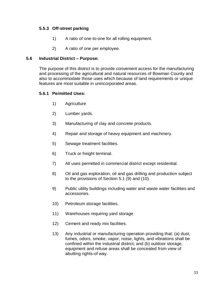## **5.5.3 Off-street parking**

- 1) A ratio of one-to-one for all rolling equipment.
- 2) A ratio of one per employee.

#### **5.6 Industrial District – Purpose:**

The purpose of this district is to provide convenient access for the manufacturing and processing of the agricultural and natural resources of Bowman County and also to accommodate those uses which because of land requirements or unique features are most suitable in unincorporated areas.

## **5.6.1 Permitted Uses:**

- 1) Agriculture
- 2) Lumber yards.
- 3) Manufacturing of clay and concrete products.
- 4) Repair and storage of heavy equipment and machinery.
- 5) Sewage treatment facilities.
- 6) Truck or freight terminal.
- 7) All uses permitted in commercial district except residential.
- 8) Oil and gas exploration, oil and gas drilling and production subject to the provisions of Section 5.1 (9) and (10).
- 9) Public utility buildings including water and waste water facilities and accessories.
- 10) Petroleum storage facilities.
- 11) Warehouses requiring yard storage.
- 12) Cement and ready mix facilities.
- 13) Any industrial or manufacturing operation providing that: (a) dust, fumes, odors, smoke, vapor, noise, lights, and vibrations shall be confined within the industrial district, and (b) outdoor storage, equipment and refuse areas shall be concealed from view of abutting rights-of way.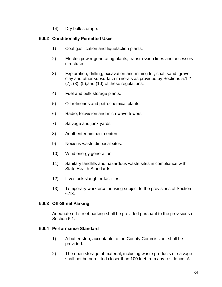14) Dry bulk storage.

## **5.6.2 Conditionally Permitted Uses**

- 1) Coal gasification and liquefaction plants.
- 2) Electric power generating plants, transmission lines and accessory structures.
- 3) Exploration, drilling, excavation and mining for, coal, sand, gravel, clay and other subsurface minerals as provided by Sections 5.1.2 (7), (8), (9),and (10) of these regulations.
- 4) Fuel and bulk storage plants.
- 5) Oil refineries and petrochemical plants.
- 6) Radio, television and microwave towers.
- 7) Salvage and junk yards.
- 8) Adult entertainment centers.
- 9) Noxious waste disposal sites.
- 10) Wind energy generation.
- 11) Sanitary landfills and hazardous waste sites in compliance with State Health Standards.
- 12) Livestock slaughter facilities.
- 13) Temporary workforce housing subject to the provisions of Section 6.13.

## **5.6.3 Off-Street Parking**

Adequate off-street parking shall be provided pursuant to the provisions of Section 6.1.

# **5.6.4 Performance Standard**

- 1) A buffer strip, acceptable to the County Commission, shall be provided.
- 2) The open storage of material, including waste products or salvage shall not be permitted closer than 100 feet from any residence. All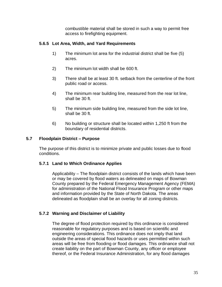combustible material shall be stored in such a way to permit free access to firefighting equipment.

## **5.6.5 Lot Area, Width, and Yard Requirements**

- 1) The minimum lot area for the industrial district shall be five (5) acres.
- 2) The minimum lot width shall be 600 ft.
- 3) There shall be at least 30 ft. setback from the centerline of the front public road or access.
- 4) The minimum rear building line, measured from the rear lot line, shall be 30 ft.
- 5) The minimum side building line, measured from the side lot line, shall be 30 ft.
- 6) No building or structure shall be located within 1,250 ft from the boundary of residential districts.

## **5.7 Floodplain District – Purpose**

The purpose of this district is to minimize private and public losses due to flood conditions.

## **5.7.1 Land to Which Ordinance Applies**

Applicability – The floodplain district consists of the lands which have been or may be covered by flood waters as delineated on maps of Bowman County prepared by the Federal Emergency Management Agency (FEMA) for administration of the National Flood Insurance Program or other maps and information provided by the State of North Dakota. The areas delineated as floodplain shall be an overlay for all zoning districts.

# **5.7.2 Warning and Disclaimer of Liability**

The degree of flood protection required by this ordinance is considered reasonable for regulatory purposes and is based on scientific and engineering considerations. This ordinance does not imply that land outside the areas of special flood hazards or uses permitted within such areas will be free from flooding or flood damages. This ordinance shall not create liability on the part of Bowman County, any officer or employee thereof, or the Federal Insurance Administration, for any flood damages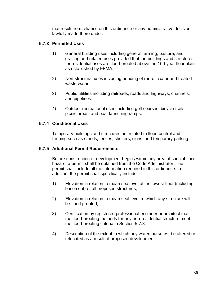that result from reliance on this ordinance or any administrative decision lawfully made there under.

## **5.7.3 Permitted Uses**

- 1) General building uses including general farming, pasture, and grazing and related uses provided that the buildings and structures for residential uses are flood-proofed above the 100-year floodplain as established by FEMA.
- 2) Non-structural uses including ponding of run-off water and treated waste water.
- 3) Public utilities including railroads, roads and highways, channels, and pipelines.
- 4) Outdoor recreational uses including golf courses, bicycle trails, picnic areas, and boat launching ramps.

## **5.7.4 Conditional Uses**

Temporary buildings and structures not related to flood control and farming such as stands, fences, shelters, signs, and temporary parking.

## **5.7.5 Additional Permit Requirements**

Before construction or development begins within any area of special flood hazard, a permit shall be obtained from the Code Administrator. The permit shall include all the information required in this ordinance. In addition, the permit shall specifically include:

- 1) Elevation in relation to mean sea level of the lowest floor (including basement) of all proposed structures;
- 2) Elevation in relation to mean seal level to which any structure will be flood-proofed;
- 3) Certification by registered professional engineer or architect that the flood-proofing methods for any non-residential structure meet the flood-proofing criteria in Section 5.7.8;
- 4) Description of the extent to which any watercourse will be altered or relocated as a result of proposed development.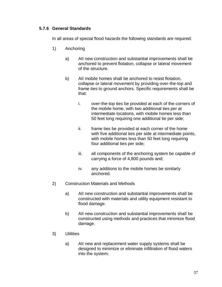## **5.7.6 General Standards**

In all areas of special flood hazards the following standards are required:

- 1) Anchoring
	- a) AII new construction and substantial improvements shall be anchored to prevent flotation, collapse or lateral movement of the structure.
	- b) AII mobile homes shall be anchored to resist flotation, collapse or lateral movement by providing over-the-top and frame ties to ground anchors. Specific requirements shall be that:
		- i. over-the-top ties be provided at each of the corners of the mobile home, with two additional ties per at intermediate locations, with mobile homes less than 50 feet long requiring one additional tie per side;
		- ii. frame ties be provided at each corner of the home with five additional ties per side at intermediate points, with mobile homes less than 50 feet long requiring four additional ties per side;
		- iii. all components of the anchoring system be capable of carrying a force of 4,800 pounds and;
		- iv. any additions to the mobile homes be similarly anchored.
- 2) Construction Materials and Methods
	- a) AII new construction and substantial improvements shall be constructed with materials and utility equipment resistant to flood damage.
	- b) AII new construction and substantial improvements shall be constructed using methods and practices that minimize flood damage.
- 3) Utilities
	- a) AII new and replacement water supply systems shall be designed to minimize or eliminate infiltration of flood waters into the system;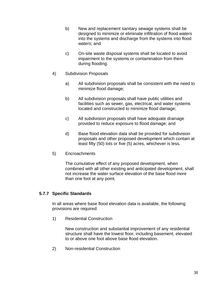- b) New and replacement sanitary sewage systems shall be designed to minimize or eliminate infiltration of flood waters into the systems and discharge from the systems into flood waters; and
- c) On-site waste disposal systems shall be located to avoid impairment to the systems or contamination from them during flooding.
- 4) Subdivision Proposals
	- a) All subdivision proposals shall be consistent with the need to minimize flood damage;
	- b) All subdivision proposals shall have public utilities and facilities such as sewer, gas, electrical, and water systems located and constructed to minimize flood damage;
	- c) All subdivision proposals shall have adequate drainage provided to reduce exposure to flood damage; and
	- d) Base flood elevation data shall be provided for subdivision proposals and other proposed development which contain at least fifty (50) lots or five (5) acres, whichever is less.
- 5) Encroachments

The cumulative effect of any proposed development, when combined with all other existing and anticipated development, shall not increase the water surface elevation of the base flood more than one foot at any point.

#### **5.7.7 Specific Standards**

In all areas where base flood elevation data is available, the following provisions are required:

1) Residential Construction

New construction and substantial improvement of any residential structure shall have the lowest floor, including basement, elevated to or above one foot above base flood elevation.

2) Non-residential Construction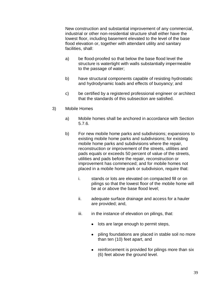New construction and substantial improvement of any commercial, industrial or other non-residential structure shall either have the lowest floor, including basement elevated to the level of the base flood elevation or, together with attendant utility and sanitary facilities, shall:

- a) be flood-proofed so that below the base flood level the structure is watertight with walls substantially impermeable to the passage of water;
- b) have structural components capable of resisting hydrostatic and hydrodynamic loads and effects of buoyancy; and
- c) be certified by a registered professional engineer or architect that the standards of this subsection are satisfied.
- 3) Mobile Homes
	- a) Mobile homes shall be anchored in accordance with Section 5.7.6.
	- b) For new mobile home parks and subdivisions; expansions to existing mobile home parks and subdivisions; for existing mobile home parks and subdivisions where the repair, reconstruction or improvement of the streets, utilities and pads equals or exceeds 50 percent of value of the streets, utilities and pads before the repair, reconstruction or improvement has commenced; and for mobile homes not placed in a mobile home park or subdivision, require that:
		- i. stands or lots are elevated on compacted fill or on pilings so that the lowest floor of the mobile home will be at or above the base flood level;
		- ii. adequate surface drainage and access for a hauler are provided; and,
		- iii. in the instance of elevation on pilings, that:
			- lots are large enough to permit steps,
			- piling foundations are placed in stable soil no more than ten (10) feet apart, and
			- reinforcement is provided for pilings more than six (6) feet above the ground level.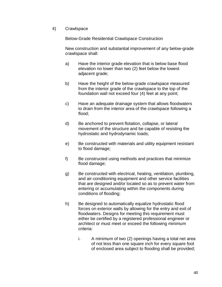### 4) Crawlspace

Below-Grade Residential Crawlspace Construction

New construction and substantial improvement of any below-grade crawlspace shall:

- a) Have the interior grade elevation that is below base flood elevation no lower than two (2) feet below the lowest adjacent grade;
- b) Have the height of the below-grade crawlspace measured from the interior grade of the crawlspace to the top of the foundation wall not exceed four (4) feet at any point;
- c) Have an adequate drainage system that allows floodwaters to drain from the interior area of the crawlspace following a flood;
- d) Be anchored to prevent flotation, collapse, or lateral movement of the structure and be capable of resisting the hydrostatic and hydrodynamic loads;
- e) Be constructed with materials and utility equipment resistant to flood damage;
- f) Be constructed using methods and practices that minimize flood damage;
- g) Be constructed with electrical, heating, ventilation, plumbing, and air-conditioning equipment and other service facilities that are designed and/or located so as to prevent water from entering or accumulating within the components during conditions of flooding;
- h) Be designed to automatically equalize hydrostatic flood forces on exterior walls by allowing for the entry and exit of floodwaters. Designs for meeting this requirement must either be certified by a registered professional engineer or architect or must meet or exceed the following minimum criteria:
	- i. A minimum of two (2) openings having a total net area of not less than one square inch for every square foot of enclosed area subject to flooding shall be provided;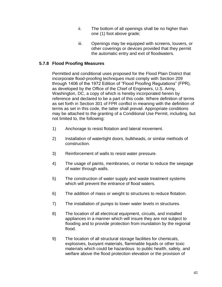- ii. The bottom of all openings shall be no higher than one (1) foot above grade;
- iii. Openings may be equipped with screens, louvers, or other coverings or devices provided that they permit the automatic entry and exit of floodwaters.

## **5.7.8 Flood Proofing Measures**

Permitted and conditional uses proposed for the Flood Plain District that incorporate flood-proofing techniques must comply with Section 209 through 1406 of the 1972 Edition of "Flood Proofing Regulations" (FPR), as developed by the Office of the Chief of Engineers, U.S. Army, Washington, DC, a copy of which is hereby incorporated herein by reference and declared to be a part of this code. Where definition of terms as set forth in Section 301 of FPR conflict in meaning with the definition of terms as set in this code, the latter shall prevail. Appropriate conditions may be attached to the granting of a Conditional Use Permit, including, but not limited to, the following:

- 1) Anchorage to resist flotation and lateral movement.
- 2) Installation of watertight doors, bulkheads, or similar methods of construction.
- 3) Reinforcement of walls to resist water pressure.
- 4) The usage of paints, membranes, or mortar to reduce the seepage of water through walls.
- 5) The construction of water supply and waste treatment systems which will prevent the entrance of flood waters.
- 6) The addition of mass or weight to structures to reduce flotation.
- 7) The installation of pumps to lower water levels in structures.
- 8) The location of all electrical equipment, circuits, and installed appliances in a manner which will insure they are not subject to flooding and to provide protection from inundation by the regional flood.
- 9) The location of all structural storage facilities for chemicals, explosives, buoyant materials, flammable liquids or other toxic materials which could be hazardous to public health, safety, and welfare above the flood protection elevation or the provision of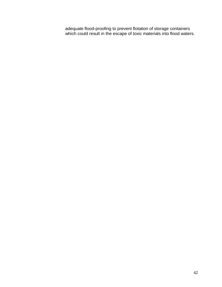adequate flood-proofing to prevent flotation of storage containers which could result in the escape of toxic materials into flood waters.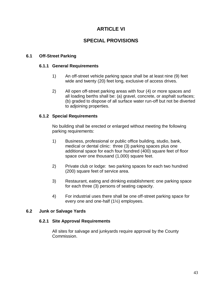# **ARTICLE VI**

# **SPECIAL PROVISIONS**

## **6.1 Off-Street Parking**

### **6.1.1 General Requirements**

- 1) An off-street vehicle parking space shall be at least nine (9) feet wide and twenty (20) feet long, exclusive of access drives.
- 2) All open off-street parking areas with four (4) or more spaces and all loading berths shall be: (a) gravel, concrete, or asphalt surfaces; (b) graded to dispose of all surface water run-off but not be diverted to adjoining properties.

## **6.1.2 Special Requirements**

No building shall be erected or enlarged without meeting the following parking requirements:

- 1) Business, professional or public office building, studio, bank, medical or dental clinic: three (3) parking spaces plus one additional space for each four hundred (400) square feet of floor space over one thousand (1,000) square feet.
- 2) Private club or lodge: two parking spaces for each two hundred (200) square feet of service area.
- 3) Restaurant, eating and drinking establishment: one parking space for each three (3) persons of seating capacity.
- 4) For industrial uses there shall be one off-street parking space for every one and one-half (1½) employees.

## **6.2 Junk or Salvage Yards**

#### **6.2.1 Site Approval Requirements**

All sites for salvage and junkyards require approval by the County Commission.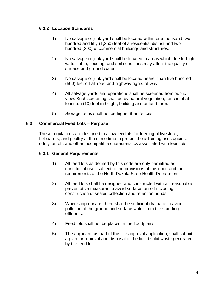## **6.2.2 Location Standards**

- 1) No salvage or junk yard shall be located within one thousand two hundred and fifty (1,250) feet of a residential district and two hundred (200) of commercial buildings and structures.
- 2) No salvage or junk yard shall be located in areas which due to high water-table, flooding, and soil conditions may affect the quality of surface and ground water.
- 3) No salvage or junk yard shall be located nearer than five hundred (500) feet off all road and highway rights-of-way.
- 4) All salvage yards and operations shall be screened from public view. Such screening shall be by natural vegetation, fences of at least ten (10) feet in height, building and or land form.
- 5) Storage items shall not be higher than fences.

## **6.3 Commercial Feed Lots – Purpose**

These regulations are designed to allow feedlots for feeding of livestock, furbearers, and poultry at the same time to protect the adjoining uses against odor, run off, and other incompatible characteristics associated with feed lots.

# **6.3.1 General Requirements**

- 1) All feed lots as defined by this code are only permitted as conditional uses subject to the provisions of this code and the requirements of the North Dakota State Health Department.
- 2) All feed lots shall be designed and constructed with all reasonable preventative measures to avoid surface run-off including construction of sealed collection and retention ponds.
- 3) Where appropriate, there shall be sufficient drainage to avoid pollution of the ground and surface water from the standing effluents.
- 4) Feed lots shall not be placed in the floodplains.
- 5) The applicant, as part of the site approval application, shall submit a plan for removal and disposal of the liquid solid waste generated by the feed lot.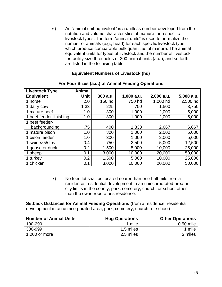6) An "animal unit equivalent" is a unitless number developed from the nutrition and volume characteristics of manure for a specific livestock types. The term "animal units" is used to normalize the number of animals (e.g., head) for each specific livestock type which produce comparable bulk quantities of manure. The animal equivalent units for types of livestock and the number of livestock for facility size thresholds of 300 animal units (a.u.), and so forth, are listed in the following table.

#### **Equivalent Numbers of Livestock (hd)**

| <b>Livestock Type</b>   | <b>Animal</b> |          |              |            |              |
|-------------------------|---------------|----------|--------------|------------|--------------|
| <b>Equivalent</b>       | <b>Unit</b>   | 300 a.u. | $1,000$ a.u. | 2,000 a.u. | $5,000$ a.u. |
| 1 horse                 | 2.0           | 150 hd   | 750 hd       | 1,000 hd   | 2,500 hd     |
| 1 dairy cow             | 1.33          | 225      | 750          | 1,500      | 3,750        |
| 1 mature beef           | 1.0           | 300      | 1,000        | 2,000      | 5,000        |
| 1 beef feeder-finishing | 1.0           | 300      | 1,000        | 2,000      | 5,000        |
| 1 beef feeder-          |               |          |              |            |              |
| backgrounding           | .75           | 400      | 1,333        | 2,667      | 6,667        |
| 1 mature bison          | 1.0           | 300      | 1,000        | 2,000      | 5,000        |
| 1 bison feeder          | 1.0           | 300      | 1,000        | 2,000      | 5,000        |
| swine>55 lbs            | 0.4           | 750      | 2,500        | 5,000      | 12,500       |
| goose or duck           | 0.2           | 1,500    | 5,000        | 10,000     | 25,000       |
| 1 sheep                 | 0.1           | 3,000    | 10,000       | 20,000     | 50,000       |
| 1 turkey                | 0.2           | 1,500    | 5,000        | 10,000     | 25,000       |
| 1 chicken               | 0.1           | 3,000    | 10,000       | 20,000     | 50,000       |

#### **For Four Sizes (a.u.) of Animal Feeding Operations**

7) No feed lot shall be located nearer than one-half mile from a residence, residential development in an unincorporated area or city limits in the county, park, cemetery, church, or school other than the owner/operator's residence.

**Setback Distances for Animal Feeding Operations** (from a residence, residential development in an unincorporated area, park, cemetery, church, or school)

| <b>Number of Animal Units</b> | <b>Hog Operations</b> | <b>Other Operations</b> |
|-------------------------------|-----------------------|-------------------------|
| 100-299                       | 1 mile                | $0.50$ mile             |
| 300-999                       | 1.5 miles             | 1 mile                  |
| 1,000 or more                 | 2.5 miles             | 2 miles                 |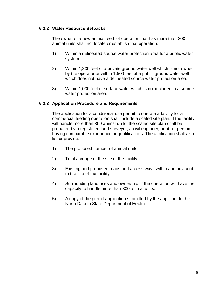### **6.3.2 Water Resource Setbacks**

The owner of a new animal feed lot operation that has more than 300 animal units shall not locate or establish that operation:

- 1) Within a delineated source water protection area for a public water system.
- 2) Within 1,200 feet of a private ground water well which is not owned by the operator or within 1,500 feet of a public ground water well which does not have a delineated source water protection area.
- 3) Within 1,000 feet of surface water which is not included in a source water protection area.

### **6.3.3 Application Procedure and Requirements**

The application for a conditional use permit to operate a facility for a commercial feeding operation shall include a scaled site plan. If the facility will handle more than 300 animal units, the scaled site plan shall be prepared by a registered land surveyor, a civil engineer, or other person having comparable experience or qualifications. The application shall also list or provide:

- 1) The proposed number of animal units.
- 2) Total acreage of the site of the facility.
- 3) Existing and proposed roads and access ways within and adjacent to the site of the facility.
- 4) Surrounding land uses and ownership, if the operation will have the capacity to handle more than 300 animal units.
- 5) A copy of the permit application submitted by the applicant to the North Dakota State Department of Health.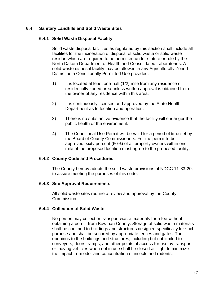## **6.4 Sanitary Landfills and Solid Waste Sites**

#### **6.4.1 Solid Waste Disposal Facility**

Solid waste disposal facilities as regulated by this section shall include all facilities for the incineration of disposal of solid waste or solid waste residue which are required to be permitted under statute or rule by the North Dakota Department of Health and Consolidated Laboratories. A solid waste disposal facility may be allowed in any Agriculturally Zoned District as a Conditionally Permitted Use provided:

- 1) It is located at least one-half (1/2) mile from any residence or residentially zoned area unless written approval is obtained from the owner of any residence within this area.
- 2) It is continuously licensed and approved by the State Health Department as to location and operation.
- 3) There is no substantive evidence that the facility will endanger the public health or the environment.
- 4) The Conditional Use Permit will be valid for a period of time set by the Board of County Commissioners. For the permit to be approved, sixty percent (60%) of all property owners within one mile of the proposed location must agree to the proposed facility.

#### **6.4.2 County Code and Procedures**

The County hereby adopts the solid waste provisions of NDCC 11-33-20, to assure meeting the purposes of this code.

#### **6.4.3 Site Approval Requirements**

All solid waste sites require a review and approval by the County Commission.

#### **6.4.4 Collection of Solid Waste**

No person may collect or transport waste materials for a fee without obtaining a permit from Bowman County. Storage of solid waste materials shall be confined to buildings and structures designed specifically for such purpose and shall be secured by appropriate fences and gates. The openings to the buildings and structures, including but not limited to conveyors, doors, ramps, and other points of access for use by transport or moving vehicles when not in use shall be closed air-tight to minimize the impact from odor and concentration of insects and rodents.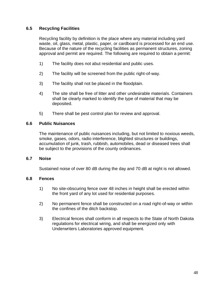## **6.5 Recycling Facilities**

Recycling facility by definition is the place where any material including yard waste, oil, glass, metal, plastic, paper, or cardboard is processed for an end use. Because of the nature of the recycling facilities as permanent structures, zoning approval and permit are required. The following are required to obtain a permit:

- 1) The facility does not abut residential and public uses.
- 2) The facility will be screened from the public right-of-way.
- 3) The facility shall not be placed in the floodplain.
- 4) The site shall be free of litter and other undesirable materials. Containers shall be clearly marked to identify the type of material that may be deposited.
- 5) There shall be pest control plan for review and approval.

### **6.6 Public Nuisances**

The maintenance of public nuisances including, but not limited to noxious weeds, smoke, gases, odors, radio interference, blighted structures or buildings, accumulation of junk, trash, rubbish, automobiles, dead or diseased trees shall be subject to the provisions of the county ordinances.

#### **6.7 Noise**

Sustained noise of over 80 dB during the day and 70 dB at night is not allowed.

#### **6.8 Fences**

- 1) No site-obscuring fence over 48 inches in height shall be erected within the front yard of any lot used for residential purposes.
- 2) No permanent fence shall be constructed on a road right-of-way or within the confines of the ditch backstop.
- 3) Electrical fences shall conform in all respects to the State of North Dakota regulations for electrical wiring, and shall be energized only with Underwriters Laboratories approved equipment.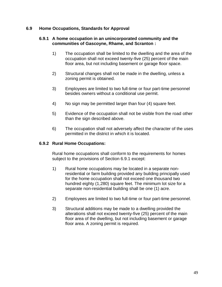#### **6.9 Home Occupations, Standards for Approval**

#### **6.9.1 A home occupation in an unincorporated community and the communities of Gascoyne, Rhame, and Scranton :**

- 1) The occupation shall be limited to the dwelling and the area of the occupation shall not exceed twenty-five (25) percent of the main floor area, but not including basement or garage floor space.
- 2) Structural changes shall not be made in the dwelling, unless a zoning permit is obtained.
- 3) Employees are limited to two full-time or four part-time personnel besides owners without a conditional use permit.
- 4) No sign may be permitted larger than four (4) square feet.
- 5) Evidence of the occupation shall not be visible from the road other than the sign described above.
- 6) The occupation shall not adversely affect the character of the uses permitted in the district in which it is located.

## **6.9.2 Rural Home Occupations:**

Rural home occupations shall conform to the requirements for homes subject to the provisions of Section 6.9.1 except:

- 1) Rural home occupations may be located in a separate nonresidential or farm building provided any building principally used for the home occupation shall not exceed one thousand two hundred eighty (1,280) square feet. The minimum lot size for a separate non-residential building shall be one (1) acre.
- 2) Employees are limited to two full-time or four part-time personnel.
- 3) Structural additions may be made to a dwelling provided the alterations shall not exceed twenty-five (25) percent of the main floor area of the dwelling, but not including basement or garage floor area. A zoning permit is required.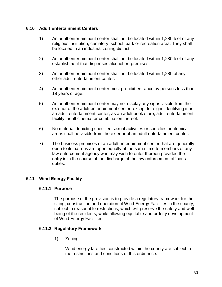### **6.10 Adult Entertainment Centers**

- 1) An adult entertainment center shall not be located within 1,280 feet of any religious institution, cemetery, school, park or recreation area. They shall be located in an industrial zoning district.
- 2) An adult entertainment center shall not be located within 1,280 feet of any establishment that dispenses alcohol on-premises.
- 3) An adult entertainment center shall not be located within 1,280 of any other adult entertainment center.
- 4) An adult entertainment center must prohibit entrance by persons less than 18 years of age.
- 5) An adult entertainment center may not display any signs visible from the exterior of the adult entertainment center, except for signs identifying it as an adult entertainment center, as an adult book store, adult entertainment facility, adult cinema, or combination thereof.
- 6) No material depicting specified sexual activities or specifies anatomical areas shall be visible from the exterior of an adult entertainment center.
- 7) The business premises of an adult entertainment center that are generally open to its patrons are open equally at the same time to members of any law enforcement agency who may wish to enter thereon provided the entry is in the course of the discharge of the law enforcement officer's duties.

## **6.11 Wind Energy Facility**

#### **6.11.1 Purpose**

The purpose of the provision is to provide a regulatory framework for the siting, construction and operation of Wind Energy Facilities in the county, subject to reasonable restrictions, which will preserve the safety and wellbeing of the residents, while allowing equitable and orderly development of Wind Energy Facilities.

#### **6.11.2 Regulatory Framework**

1) Zoning

Wind energy facilities constructed within the county are subject to the restrictions and conditions of this ordinance.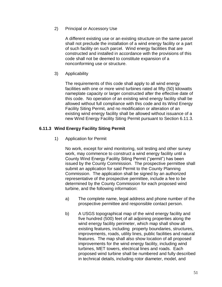2) Principal or Accessory Use

A different existing use or an existing structure on the same parcel shall not preclude the installation of a wind energy facility or a part of such facility on such parcel. Wind energy facilities that are constructed and installed in accordance with the provisions of this code shall not be deemed to constitute expansion of a nonconforming use or structure.

3) Applicability

The requirements of this code shall apply to all wind energy facilities with one or more wind turbines rated at fifty (50) kilowatts nameplate capacity or larger constructed after the effective date of this code. No operation of an existing wind energy facility shall be allowed without full compliance with this code and its Wind Energy Facility Siting Permit, and no modification or alteration of an existing wind energy facility shall be allowed without issuance of a new Wind Energy Facility Siting Permit pursuant to Section 6.11.3.

### **6.11.3 Wind Energy Facility Siting Permit**

1) Application for Permit

No work, except for wind monitoring, soil testing and other survey work, may commence to construct a wind energy facility until a County Wind Energy Facility Siting Permit ("permit") has been issued by the County Commission. The prospective permittee shall submit an application for said Permit to the County Planning Commission. The application shall be signed by an authorized representative of the prospective permittee, include a fee to be determined by the County Commission for each proposed wind turbine, and the following information:

- a) The complete name, legal address and phone number of the prospective permittee and responsible contact person.
- b) A USGS topographical map of the wind energy facility and five hundred (500) feet of all adjoining properties along the wind energy facility perimeter, which map shall show all existing features, including property boundaries, structures, improvements, roads, utility lines, public facilities and natural features. The map shall also show location of all proposed improvements for the wind energy facility, including wind turbines, MET towers, electrical lines and roads. Each proposed wind turbine shall be numbered and fully described in technical details, including rotor diameter, model, and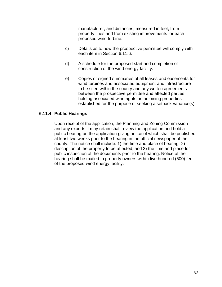manufacturer, and distances, measured in feet, from property lines and from existing improvements for each proposed wind turbine.

- c) Details as to how the prospective permittee will comply with each item in Section 6.11.6.
- d) A schedule for the proposed start and completion of construction of the wind energy facility.
- e) Copies or signed summaries of all leases and easements for wind turbines and associated equipment and infrastructure to be sited within the county and any written agreements between the prospective permittee and affected parties holding associated wind rights on adjoining properties established for the purpose of seeking a setback variance(s).

### **6.11.4 Public Hearings**

Upon receipt of the application, the Planning and Zoning Commission and any experts it may retain shall review the application and hold a public hearing on the application giving notice of which shall be published at least two weeks prior to the hearing in the official newspaper of the county. The notice shall include: 1) the time and place of hearing; 2) description of the property to be affected; and 3) the time and place for public inspection of the documents prior to the hearing. Notice of the hearing shall be mailed to property owners within five hundred (500) feet of the proposed wind energy facility.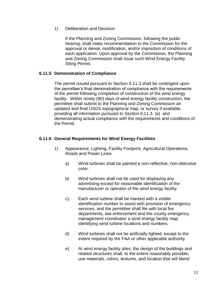1) Deliberation and Decision

If the Planning and Zoning Commission, following the public hearing, shall make recommendation to the Commission for the approval or denial, modification, and/or imposition of conditions of each application. Upon approval by the Commission, the Planning and Zoning Commission shall issue such Wind Energy Facility Siting Permit.

#### **6.11.5 Demonstration of Compliance**

The permit issued pursuant to Section 6.11.3 shall be contingent upon the permittee's final demonstration of compliance with the requirements of the permit following completion of construction of the wind energy facility. Within ninety (90) days of wind energy facility construction, the permittee shall submit to the Planning and Zoning Commission an updated and final USGS topographical map, or survey if available, providing all information pursuant to Section 6.11.3. (a) and demonstrating actual compliance with the requirements and conditions of the Permit.

### **6.11.6 General Requirements for Wind Energy Facilities**

- 1) Appearance, Lighting, Facility Footprint, Agricultural Operations, Roads and Power Lines
	- a) Wind turbines shall be painted a non-reflective, non-obtrusive color.
	- b) Wind turbines shall not be used for displaying any advertising except for reasonable identification of the manufacturer or operator of the wind energy facility.
	- c) Each wind turbine shall be marked with a visible identification number to assist with provision of emergency services, and the permittee shall file with local fire departments, law enforcement and the county emergency management coordinator a wind energy facility map identifying wind turbine locations and numbers.
	- d) Wind turbines shall not be artificially lighted, except to the extent required by the FAA or other applicable authority.
	- e) At wind energy facility sites, the design of the buildings and related structures shall, to the extent reasonably possible, use materials, colors, textures, and location that will blend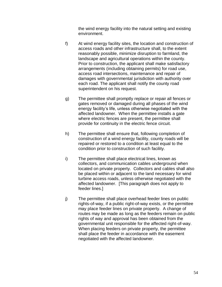the wind energy facility into the natural setting and existing environment.

- f) At wind energy facility sites, the location and construction of access roads and other infrastructure shall, to the extent reasonably possible, minimize disruption to farmland, the landscape and agricultural operations within the county. Prior to construction, the applicant shall make satisfactory arrangements (including obtaining permits) for road use, access road intersections, maintenance and repair of damages with governmental jurisdiction with authority over each road. The applicant shall notify the county road superintendent on his request.
- g) The permittee shall promptly replace or repair all fences or gates removed or damaged during all phases of the wind energy facility's life, unless otherwise negotiated with the affected landowner. When the permittee installs a gate where electric fences are present, the permittee shall provide for continuity in the electric fence circuit.
- h) The permittee shall ensure that, following completion of construction of a wind energy facility, county roads will be repaired or restored to a condition at least equal to the condition prior to construction of such facility.
- i) The permittee shall place electrical lines, known as collectors, and communication cables underground when located on private property. Collectors and cables shall also be placed within or adjacent to the land necessary for wind turbine access roads, unless otherwise negotiated with the affected landowner. [This paragraph does not apply to feeder lines.]
- j) The permittee shall place overhead feeder lines on public rights-of-way, if a public right-of-way exists, or the permittee may place feeder lines on private property. A change of routes may be made as long as the feeders remain on public rights of way and approval has been obtained from the governmental unit responsible for the affected right-of-way. When placing feeders on private property, the permittee shall place the feeder in accordance with the easement negotiated with the affected landowner.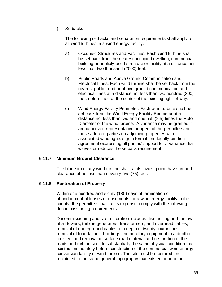2) Setbacks

The following setbacks and separation requirements shall apply to all wind turbines in a wind energy facility.

- a) Occupied Structures and Facilities: Each wind turbine shall be set back from the nearest occupied dwelling, commercial building or publicly-used structure or facility at a distance not less than two thousand (2000) feet.
- b) Public Roads and Above Ground Communication and Electrical Lines: Each wind turbine shall be set back from the nearest public road or above ground communication and electrical lines at a distance not less than two hundred (200) feet, determined at the center of the existing right-of-way.
- c) Wind Energy Facility Perimeter: Each wind turbine shall be set back from the Wind Energy Facility Perimeter at a distance not less than two and one half (2.5) times the Rotor Diameter of the wind turbine. A variance may be granted if an authorized representative or agent of the permittee and those affected parties on adjoining properties with associated wind rights sign a formal and legally-binding agreement expressing all parties' support for a variance that waives or reduces the setback requirement.

#### **6.11.7 Minimum Ground Clearance**

The blade tip of any wind turbine shall, at its lowest point, have ground clearance of no less than seventy-five (75) feet.

## **6.11.8 Restoration of Property**

Within one hundred and eighty (180) days of termination or abandonment of leases or easements for a wind energy facility in the county, the permittee shall, at its expense, comply with the following decommissioning requirements:

Decommissioning and site restoration includes dismantling and removal of all towers, turbine generators, transformers, and overhead cables; removal of underground cables to a depth of twenty-four inches; removal of foundations, buildings and ancillary equipment to a depth of four feet and removal of surface road material and restoration of the roads and turbine sites to substantially the same physical condition that existed immediately before construction of the commercial wind energy conversion facility or wind turbine. The site must be restored and reclaimed to the same general topography that existed prior to the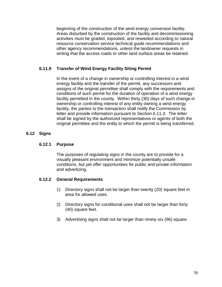beginning of the construction of the wind energy conversion facility. Areas disturbed by the construction of the facility and decommissioning activities must be graded, topsoiled, and reseeded according to natural resource conservation service technical guide recommendations and other agency recommendations, unless the landowner requests in writing that the access roads or other land surface areas be retained.

## **6.11.9 Transfer of Wind Energy Facility Siting Permit**

In the event of a change in ownership or controlling interest in a wind energy facility and the transfer of the permit, any successors and assigns of the original permittee shall comply with the requirements and conditions of such permit for the duration of operation of a wind energy facility permitted in the county. Within thirty (30) days of such change in ownership or controlling interest of any entity owning a wind energy facility, the parties to the transaction shall notify the Commission by letter and provide information pursuant to Section 6.11.3. The letter shall be signed by the authorized representatives or agents of both the original permittee and the entity to which the permit is being transferred.

## **6.12 Signs**

## **6.12.1 Purpose**

The purposes of regulating signs in the county are to provide for a visually pleasant environment and minimize potentially unsafe conditions, but yet offer opportunities for public and private information and advertizing.

## **6.12.2 General Requirements**

- 1) Directory signs shall not be larger than twenty (20) square feet in area for allowed uses.
- 2) Directory signs for conditional uses shall not be larger than forty (40) square feet.
- 3) Advertising signs shall not be larger than ninety-six (96) square.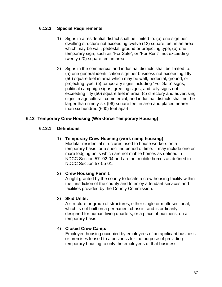## **6.12.3 Special Requirements**

- 1) Signs in a residential district shall be limited to: (a) one sign per dwelling structure not exceeding twelve (12) square feet in an area which may be wall, pedestal, ground or projecting type; (b) one temporary sign, such as "For Sale", or "For Rent", not exceeding twenty (20) square feet in area.
- 2) Signs in the commercial and industrial districts shall be limited to: (a) one general identification sign per business not exceeding fifty (50) square feet in area which may be wall, pedestal, ground, or projecting type; (b) temporary signs including "For Sale" signs, political campaign signs, greeting signs, and rally signs not exceeding fifty (50) square feet in area; (c) directory and advertising signs in agricultural, commercial, and industrial districts shall not be larger than ninety-six (96) square feet in area and placed nearer than six hundred (600) feet apart.

## **6.13 Temporary Crew Housing (Workforce Temporary Housing)**

## **6.13.1 Definitions**

### 1) **Temporary Crew Housing (work camp housing):**

Modular residential structures used to house workers on a temporary basis for a specified period of time. It may include one or more lodging units which are not mobile homes as defined in NDCC Section 57- 02-04 and are not mobile homes as defined in NDCC Section 57-55-01.

## 2) **Crew Housing Permit:**

A right granted by the county to locate a crew housing facility within the jurisdiction of the county and to enjoy attendant services and facilities provided by the County Commission.

## 3) **Skid Units:**

A structure or group of structures, either single or multi-sectional, which is not built on a permanent chassis and is ordinarily designed for human living quarters, or a place of business, on a temporary basis.

## 4) **Closed Crew Camp:**

Employee housing occupied by employees of an applicant business or premises leased to a business for the purpose of providing temporary housing to only the employees of that business.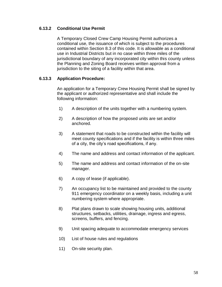## **6.13.2 Conditional Use Permit**

A Temporary Closed Crew Camp Housing Permit authorizes a conditional use, the issuance of which is subject to the procedures contained within Section 8.3 of this code. It is allowable as a conditional use in Industrial Districts but in no case within three miles of the jurisdictional boundary of any incorporated city within this county unless the Planning and Zoning Board receives written approval from a jurisdiction to the siting of a facility within that area.

## **6.13.3 Application Procedure:**

An application for a Temporary Crew Housing Permit shall be signed by the applicant or authorized representative and shall include the following information:

- 1) A description of the units together with a numbering system.
- 2) A description of how the proposed units are set and/or anchored.
- 3) A statement that roads to be constructed within the facility will meet county specifications and if the facility is within three miles of a city, the city's road specifications, if any.
- 4) The name and address and contact information of the applicant.
- 5) The name and address and contact information of the on-site manager.
- 6) A copy of lease (if applicable).
- 7) An occupancy list to be maintained and provided to the county 911 emergency coordinator on a weekly basis, including a unit numbering system where appropriate.
- 8) Plat plans drawn to scale showing housing units, additional structures, setbacks, utilities, drainage, ingress and egress, screens, buffers, and fencing.
- 9) Unit spacing adequate to accommodate emergency services
- 10) List of house rules and regulations
- 11) On-site security plan.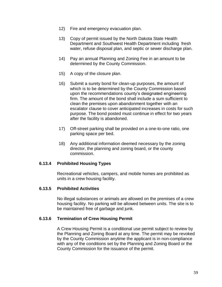- 12) Fire and emergency evacuation plan.
- 13) Copy of permit issued by the North Dakota State Health Department and Southwest Health Department including fresh water, refuse disposal plan, and septic or sewer discharge plan.
- 14) Pay an annual Planning and Zoning Fee in an amount to be determined by the County Commission.
- 15) A copy of the closure plan.
- 16) Submit a surety bond for clean-up purposes, the amount of which is to be determined by the County Commission based upon the recommendations county's designated engineering firm. The amount of the bond shall include a sum sufficient to clean the premises upon abandonment together with an escalator clause to cover anticipated increases in costs for such purpose. The bond posted must continue in effect for two years after the facility is abandoned.
- 17) Off-street parking shall be provided on a one-to-one ratio, one parking space per bed.
- 18) Any additional information deemed necessary by the zoning director, the planning and zoning board, or the county commission.

#### **6.13.4 Prohibited Housing Types**

Recreational vehicles, campers, and mobile homes are prohibited as units in a crew housing facility.

#### **6.13.5 Prohibited Activities**

No illegal substances or animals are allowed on the premises of a crew housing facility. No parking will be allowed between units. The site is to be maintained free of garbage and junk.

#### **6.13.6 Termination of Crew Housing Permit**

A Crew Housing Permit is a conditional use permit subject to review by the Planning and Zoning Board at any time. The permit may be revoked by the County Commission anytime the applicant is in non-compliance with any of the conditions set by the Planning and Zoning Board or the County Commission for the issuance of the permit.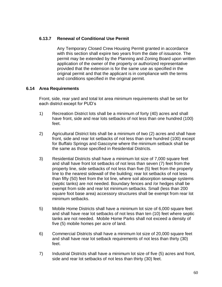## **6.13.7 Renewal of Conditional Use Permit**

Any Temporary Closed Crew Housing Permit granted in accordance with this section shall expire two years from the date of issuance. The permit may be extended by the Planning and Zoning Board upon written application of the owner of the property or authorized representative provided that the extension is for the same use as specified in the original permit and that the applicant is in compliance with the terms and conditions specified in the original permit.

#### **6.14 Area Requirements**

Front, side, rear yard and total lot area minimum requirements shall be set for each district except for PUD's

- 1) Recreation District lots shall be a minimum of forty (40) acres and shall have front, side and rear lots setbacks of not less than one hundred (100) feet.
- 2) Agricultural District lots shall be a minimum of two (2) acres and shall have front, side and rear lot setbacks of not less than one hundred (100) except for Buffalo Springs and Gascoyne where the minimum setback shall be the same as those specified in Residential Districts.
- 3) Residential Districts shall have a minimum lot size of 7,000 square feet and shall have front lot setbacks of not less than seven (7) feet from the property line, side setbacks of not less than five (5) feet from the property line to the nearest sidewall of the building; rear lot setbacks of not less than fifty (50) feet from the lot line, where soil absorption sewage systems (septic tanks) are not needed. Boundary fences and /or hedges shall be exempt from side and rear lot minimum setbacks. Small (less than 200 square foot base area) accessory structures shall be exempt from rear lot minimum setbacks.
- 5) Mobile Home Districts shall have a minimum lot size of 6,000 square feet and shall have rear lot setbacks of not less than ten (10) feet where septic tanks are not needed. Mobile Home Parks shall not exceed a density of five (5) mobile homes per acre of land.
- 6) Commercial Districts shall have a minimum lot size of 20,000 square feet and shall have rear lot setback requirements of not less than thirty (30) feet.
- 7) Industrial Districts shall have a minimum lot size of five (5) acres and front, side and rear lot setbacks of not less than thirty (30) feet.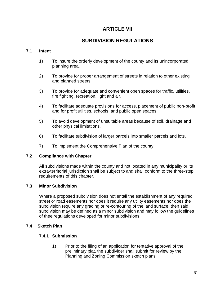# **ARTICLE VII**

# **SUBDIVISION REGULATIONS**

## **7.1 Intent**

- 1) To insure the orderly development of the county and its unincorporated planning area.
- 2) To provide for proper arrangement of streets in relation to other existing and planned streets.
- 3) To provide for adequate and convenient open spaces for traffic, utilities, fire fighting, recreation, light and air.
- 4) To facilitate adequate provisions for access, placement of public non-profit and for profit utilities, schools, and public open spaces.
- 5) To avoid development of unsuitable areas because of soil, drainage and other physical limitations.
- 6) To facilitate subdivision of larger parcels into smaller parcels and lots.
- 7) To implement the Comprehensive Plan of the county.

## **7.2 Compliance with Chapter**

All subdivisions made within the county and not located in any municipality or its extra-territorial jurisdiction shall be subject to and shall conform to the three-step requirements of this chapter.

## **7.3 Minor Subdivision**

Where a proposed subdivision does not entail the establishment of any required street or road easements nor does it require any utility easements nor does the subdivision require any grading or re-contouring of the land surface, then said subdivision may be defined as a minor subdivision and may follow the guidelines of thee regulations developed for minor subdivisions.

## **7.4 Sketch Plan**

## **7.4.1 Submission**

1) Prior to the filing of an application for tentative approval of the preliminary plat, the subdivider shall submit for review by the Planning and Zoning Commission sketch plans.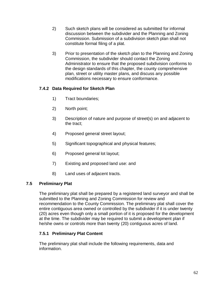- 2) Such sketch plans will be considered as submitted for informal discussion between the subdivider and the Planning and Zoning Commission. Submission of a subdivision sketch plan shall not constitute formal filing of a plat.
- 3) Prior to presentation of the sketch plan to the Planning and Zoning Commission, the subdivider should contact the Zoning Administrator to ensure that the proposed subdivision conforms to the design standards of this chapter, the county comprehensive plan, street or utility master plans, and discuss any possible modifications necessary to ensure conformance.

# **7.4.2 Data Required for Sketch Plan**

- 1) Tract boundaries;
- 2) North point;
- 3) Description of nature and purpose of street(s) on and adjacent to the tract;
- 4) Proposed general street layout;
- 5) Significant topographical and physical features;
- 6) Proposed general lot layout;
- 7) Existing and proposed land use: and
- 8) Land uses of adjacent tracts.

# **7.5 Preliminary Plat**

The preliminary plat shall be prepared by a registered land surveyor and shall be submitted to the Planning and Zoning Commission for review and recommendation to the County Commission. The preliminary plat shall cover the entire contiguous area owned or controlled by the subdivider if it is under twenty (20) acres even though only a small portion of it is proposed for the development at the time. The subdivider may be required to submit a development plan if he/she owns or controls more than twenty (20) contiguous acres of land.

# **7.5.1 Preliminary Plat Content**

The preliminary plat shall include the following requirements, data and information.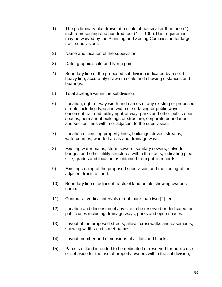- 1) The preliminary plat drawn at a scale of not smaller than one (1) inch representing one hundred feet (1" = 100').This requirement may be waived by the Planning and Zoning Commission for large tract subdivisions.
- 2) Name and location of the subdivision.
- 3) Date, graphic scale and North point.
- 4) Boundary line of the proposed subdivision indicated by a solid heavy line, accurately drawn to scale and showing distances and bearings.
- 5) Total acreage within the subdivision.
- 6) Location, right-of-way width and names of any existing or proposed streets including type and width of surfacing or public ways, easement, railroad, utility right-of-way, parks and other public open spaces, permanent buildings or structure, corporate boundaries and section lines within or adjacent to the subdivision.
- 7) Location of existing property lines, buildings, drives, streams, watercourses, wooded areas and drainage ways.
- 8) Existing water mains, storm sewers, sanitary sewers, culverts, bridges and other utility structures within the tracts, indicating pipe size, grades and location as obtained from public records.
- 9) Existing zoning of the proposed subdivision and the zoning of the adjacent tracts of land.
- 10) Boundary line of adjacent tracts of land or lots showing owner's name.
- 11) Contour at vertical intervals of not more than two (2) feet.
- 12) Location and dimension of any site to be reserved or dedicated for public uses including drainage ways, parks and open spaces.
- 13) Layout of the proposed streets, alleys, crosswalks and easements, showing widths and street names.
- 14) Layout, number and dimensions of all lots and blocks.
- 15) Parcels of land intended to be dedicated or reserved for public use or set aside for the use of property owners within the subdivision,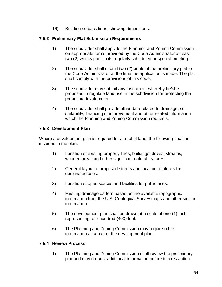16) Building setback lines, showing dimensions,

## **7.5.2 Preliminary Plat Submission Requirements**

- 1) The subdivider shall apply to the Planning and Zoning Commission on appropriate forms provided by the Code Administrator at least two (2) weeks prior to its regularly scheduled or special meeting.
- 2) The subdivider shall submit two (2) prints of the preliminary plat to the Code Administrator at the time the application is made. The plat shall comply with the provisions of this code.
- 3) The subdivider may submit any instrument whereby he/she proposes to regulate land use in the subdivision for protecting the proposed development.
- 4) The subdivider shall provide other data related to drainage, soil suitability, financing of improvement and other related information which the Planning and Zoning Commission requests.

## **7.5.3 Development Plan**

Where a development plan is required for a tract of land, the following shall be included in the plan.

- 1) Location of existing property lines, buildings, drives, streams, wooded areas and other significant natural features.
- 2) General layout of proposed streets and location of blocks for designated uses.
- 3) Location of open spaces and facilities for public uses.
- 4) Existing drainage pattern based on the available topographic information from the U.S. Geological Survey maps and other similar information.
- 5) The development plan shall be drawn at a scale of one (1) inch representing four hundred (400) feet.
- 6) The Planning and Zoning Commission may require other information as a part of the development plan.

## **7.5.4 Review Process**

1) The Planning and Zoning Commission shall review the preliminary plat and may request additional information before it takes action.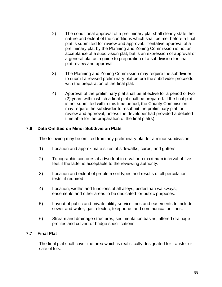- 2) The conditional approval of a preliminary plat shall clearly state the nature and extent of the conditions which shall be met before a final plat is submitted for review and approval. Tentative approval of a preliminary plat by the Planning and Zoning Commission is not an acceptance of a subdivision plat, but is an expression of approval of a general plat as a guide to preparation of a subdivision for final plat review and approval.
- 3) The Planning and Zoning Commission may require the subdivider to submit a revised preliminary plat before the subdivider proceeds with the preparation of the final plat.
- 4) Approval of the preliminary plat shall be effective for a period of two (2) years within which a final plat shall be prepared. If the final plat is not submitted within this time period, the County Commission may require the subdivider to resubmit the preliminary plat for review and approval, unless the developer had provided a detailed timetable for the preparation of the final plat(s).

### **7.6 Data Omitted on Minor Subdivision Plats**

The following may be omitted from any preliminary plat for a minor subdivision:

- 1) Location and approximate sizes of sidewalks, curbs, and gutters.
- 2) Topographic contours at a two foot interval or a maximum interval of five feet if the latter is acceptable to the reviewing authority.
- 3) Location and extent of problem soil types and results of all percolation tests, if required.
- 4) Location, widths and functions of all alleys, pedestrian walkways, easements and other areas to be dedicated for public purposes.
- 5) Layout of public and private utility service lines and easements to include sewer and water, gas, electric, telephone, and communication lines.
- 6) Stream and drainage structures, sedimentation basins, altered drainage profiles and culvert or bridge specifications.

#### **7.7 Final Plat**

The final plat shall cover the area which is realistically designated for transfer or sale of lots.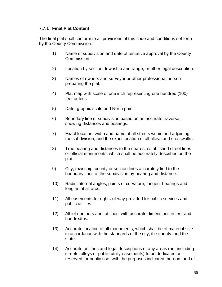## **7.7.1 Final Plat Content**

The final plat shall conform to all provisions of this code and conditions set forth by the County Commission.

- 1) Name of subdivision and date of tentative approval by the County Commission.
- 2) Location by section, township and range, or other legal description.
- 3) Names of owners and surveyor or other professional person preparing the plat.
- 4) Plat map with scale of one inch representing one hundred (100) feet or less.
- 5) Date, graphic scale and North point.
- 6) Boundary line of subdivision based on an accurate traverse, showing distances and bearings.
- 7) Exact location, width and name of all streets within and adjoining the subdivision, and the exact location of all alleys and crosswalks.
- 8) True bearing and distances to the nearest established street lines or official monuments, which shall be accurately described on the plat.
- 9) City, township, county or section lines accurately tied to the boundary lines of the subdivision by bearing and distance.
- 10) Radii, internal angles, points of curvature, tangent bearings and lengths of all arcs.
- 11) All easements for rights-of-way provided for public services and public utilities.
- 12) All lot numbers and lot lines, with accurate dimensions in feet and hundredths.
- 13) Accurate location of all monuments, which shall be of material size in accordance with the standards of the city, the county, and the state.
- 14) Accurate outlines and legal descriptions of any areas (not including streets, alleys or public utility easements) to be dedicated or reserved for public use, with the purposes indicated thereon, and of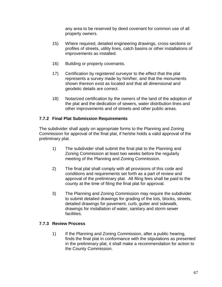any area to be reserved by deed covenant for common use of all property owners.

- 15) Where required, detailed engineering drawings, cross-sections or profiles of streets, utility lines, catch basins or other installations of improvements as installed.
- 16) Building or property covenants.
- 17) Certification by registered surveyor to the effect that the plat represents a survey made by him/her, and that the monuments shown thereon exist as located and that all dimensional and geodetic details are correct.
- 18) Notarized certification by the owners of the land of the adoption of the plat and the dedication of sewers, water distribution lines and other improvements and of streets and other public areas.

## **7.7.2 Final Plat Submission Requirements**

The subdivider shall apply on appropriate forms to the Planning and Zoning Commission for approval of the final plat, if he/she holds a valid approval of the preliminary plat.

- 1) The subdivider shall submit the final plat to the Planning and Zoning Commission at least two weeks before the regularly meeting of the Planning and Zoning Commission.
- 2) The final plat shall comply with all provisions of this code and conditions and requirements set forth as a part of review and approval of the preliminary plat. All filing fees shall be paid to the county at the time of filing the final plat for approval.
- 3) The Planning and Zoning Commission may require the subdivider to submit detailed drawings for grading of the lots, blocks, streets, detailed drawings for pavement, curb, gutter and sidewalk, drawings for installation of water, sanitary and storm sewer facilities.

## **7.7.3 Review Process**

1) If the Planning and Zoning Commission, after a public hearing, finds the final plat in conformance with the stipulations as presented in the preliminary plat, it shall make a recommendation for action to the County Commission.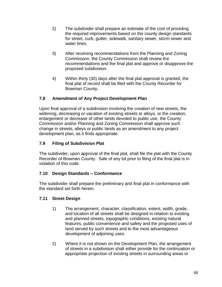- 2) The subdivider shall prepare an estimate of the cost of providing the required improvements based on the county design standards for street, curb, gutter, sidewalk, sanitary sewer, storm sewer and water lines.
- 3) After receiving recommendations from the Planning and Zoning Commission, the County Commission shall review the recommendations and the final plat and approve or disapprove the proposed subdivision.
- 4) Within thirty (30) days after the final plat approval is granted, the final plat of record shall be filed with the County Recorder for Bowman County.

# **7.8 Amendment of Any Project Development Plan**

Upon final approval of a subdivision involving the creation of new streets, the widening, decreasing or vacation of existing streets or alleys, or the creation, enlargement or decrease of other lands devoted to public use, the County Commission and/or Planning and Zoning Commission shall approve such change in streets, alleys or public lands as an amendment to any project development plan, as it finds appropriate.

# **7.9 Filing of Subdivision Plat**

The subdivider, upon approval of the final plat, shall file the plat with the County Recorder of Bowman County. Sale of any lot prior to filing of the final plat is in violation of this code.

# **7.10 Design Standards – Conformance**

The subdivider shall prepare the preliminary and final plat in conformance with the standard set forth herein.

# **7.11 Street Design**

- 1) The arrangement, character, classification, extent, width, grade, and location of all streets shall be designed in relation to existing and planned streets, topographic conditions, existing natural features, public convenience and safety and the proposed uses of land served by such streets and to the most advantageous development of adjoining uses.
- 2) Where it is not shown on the Development Plan, the arrangement of streets in a subdivision shall either provide for the continuation or appropriate projection of existing streets in surrounding areas or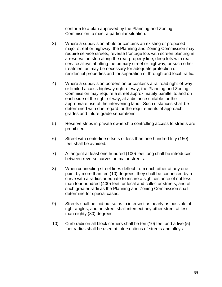conform to a plan approved by the Planning and Zoning Commission to meet a particular situation.

- 3) Where a subdivision abuts or contains an existing or proposed major street or highway, the Planning and Zoning Commission may require service streets, reverse frontage lots with screen planting in a reservation strip along the rear property line, deep lots with rear service alleys abutting the primary street or highway, or such other treatment as may be necessary for adequate protection of residential properties and for separation of through and local traffic.
- 4) Where a subdivision borders on or contains a railroad right-of-way or limited access highway right-of-way, the Planning and Zoning Commission may require a street approximately parallel to and on each side of the right-of-way, at a distance suitable for the appropriate use of the intervening land. Such distances shall be determined with due regard for the requirements of approach grades and future grade separations.
- 5) Reserve strips in private ownership controlling access to streets are prohibited.
- 6) Street with centerline offsets of less than one hundred fifty (150) feet shall be avoided.
- 7) A tangent at least one hundred (100) feet long shall be introduced between reverse curves on major streets.
- 8) When connecting street lines deflect from each other at any one point by more than ten (10) degrees, they shall be connected by a curve with a radius adequate to insure a sight distance of not less than four hundred (400) feet for local and collector streets, and of such greater radii as the Planning and Zoning Commission shall determine for special cases.
- 9) Streets shall be laid out so as to intersect as nearly as possible at right angles, and no street shall intersect any other street at less than eighty (80) degrees.
- 10) Curb radii on all block corners shall be ten (10) feet and a five (5) foot radius shall be used at intersections of streets and alleys.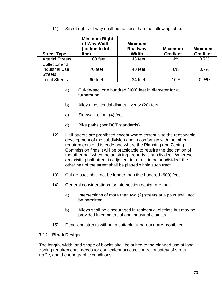11) Street rights-of-way shall be not less than the following table:

| <b>Street Type</b>                                       | <b>Minimum Right-</b><br>of-Way Width<br>(lot line to lot<br>line) | <b>Minimum</b><br>Roadway<br><b>Width</b> | <b>Maximum</b><br><b>Gradient</b> | <b>Minimum</b><br><b>Gradient</b> |
|----------------------------------------------------------|--------------------------------------------------------------------|-------------------------------------------|-----------------------------------|-----------------------------------|
| <b>Arterial Streets</b>                                  | 100 feet                                                           | 48 feet                                   | 4%                                | 0.7%                              |
| Collector and<br><b>Industrial Use</b><br><b>Streets</b> | 70 feet                                                            | 40 feet                                   | 6%                                | 0.7%                              |
| <b>Local Streets</b>                                     | 60 feet                                                            | 34 feet                                   | 10%                               | 0.5%                              |

- a) Cul-de-sac, one hundred (100) feet in diameter for a turnaround.
- b) Alleys, residential district, twenty (20) feet.
- c) Sidewalks, four (4) feet.
- d) Bike paths (per DOT standards).
- 12) Half-streets are prohibited except where essential to the reasonable development of the subdivision and in conformity with the other requirements of this code and where the Planning and Zoning Commission finds it will be practicable to require the dedication of the other half when the adjoining property is subdivided. Wherever an existing half-street is adjacent to a tract to be subdivided, the other half of the street shall be platted within such tract.
- 13) Cul-de-sacs shall not be longer than five hundred (500) feet.
- 14) General considerations for intersection design are that:
	- a) Intersections of more than two (2) streets at a point shall not be permitted.
	- b) Alleys shall be discouraged in residential districts but may be provided in commercial and industrial districts.
- 15) Dead-end streets without a suitable turnaround are prohibited.

# **7.12 Block Design**

The length, width, and shape of blocks shall be suited to the planned use of land, zoning requirements, needs for convenient access, control of safety of street traffic, and the topographic conditions.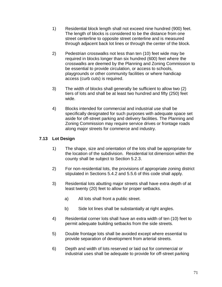- 1) Residential block length shall not exceed nine hundred (900) feet. The length of blocks is considered to be the distance from one street centerline to opposite street centerline and is measured through adjacent back lot lines or through the center of the block.
- 2) Pedestrian crosswalks not less than ten (10) feet wide may be required in blocks longer than six hundred (600) feet where the crosswalks are deemed by the Planning and Zoning Commission to be essential to provide circulation, or access to schools, playgrounds or other community facilities or where handicap access (curb cuts) is required.
- 3) The width of blocks shall generally be sufficient to allow two (2) tiers of lots and shall be at least two hundred and fifty (250) feet wide.
- 4) Blocks intended for commercial and industrial use shall be specifically designated for such purposes with adequate space set aside for off-street parking and delivery facilities. The Planning and Zoning Commission may require service drives or frontage roads along major streets for commerce and industry.

# **7.13 Lot Design**

- 1) The shape, size and orientation of the lots shall be appropriate for the location of the subdivision. Residential lot dimension within the county shall be subject to Section 5.2.3.
- 2) For non-residential lots, the provisions of appropriate zoning district stipulated in Sections 5.4.2 and 5.5.6 of this code shall apply.
- 3) Residential lots abutting major streets shall have extra depth of at least twenty (20) feet to allow for proper setbacks.
	- a) All lots shall front a public street.
	- b) Side lot lines shall be substantially at right angles.
- 4) Residential corner lots shall have an extra width of ten (10) feet to permit adequate building setbacks from the side streets.
- 5) Double frontage lots shall be avoided except where essential to provide separation of development from arterial streets.
- 6) Depth and width of lots reserved or laid out for commercial or industrial uses shall be adequate to provide for off-street parking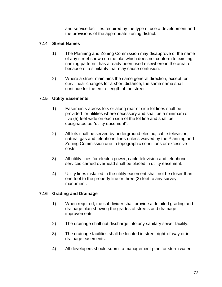and service facilities required by the type of use a development and the provisions of the appropriate zoning district.

### **7.14 Street Names**

- 1) The Planning and Zoning Commission may disapprove of the name of any street shown on the plat which does not conform to existing naming patterns, has already been used elsewhere in the area, or because of a similarity that may cause confusion.
- 2) Where a street maintains the same general direction, except for curvilinear changes for a short distance, the same name shall continue for the entire length of the street.

#### **7.15 Utility Easements**

- 1) Easements across lots or along rear or side lot lines shall be provided for utilities where necessary and shall be a minimum of five (5) feet wide on each side of the lot line and shall be designated as "utility easement".
- 2) All lots shall be served by underground electric, cable television, natural gas and telephone lines unless waived by the Planning and Zoning Commission due to topographic conditions or excessive costs.
- 3) All utility lines for electric power, cable television and telephone services carried overhead shall be placed in utility easement.
- 4) Utility lines installed in the utility easement shall not be closer than one foot to the property line or three (3) feet to any survey monument.

#### **7.16 Grading and Drainage**

- 1) When required, the subdivider shall provide a detailed grading and drainage plan showing the grades of streets and drainage improvements.
- 2) The drainage shall not discharge into any sanitary sewer facility.
- 3) The drainage facilities shall be located in street right-of-way or in drainage easements.
- 4) All developers should submit a management plan for storm water.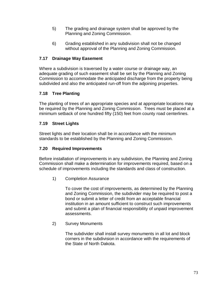- 5) The grading and drainage system shall be approved by the Planning and Zoning Commission.
- 6) Grading established in any subdivision shall not be changed without approval of the Planning and Zoning Commission.

# **7.17 Drainage Way Easement**

Where a subdivision is traversed by a water course or drainage way, an adequate grading of such easement shall be set by the Planning and Zoning Commission to accommodate the anticipated discharge from the property being subdivided and also the anticipated run-off from the adjoining properties.

# **7.18 Tree Planting**

The planting of trees of an appropriate species and at appropriate locations may be required by the Planning and Zoning Commission. Trees must be placed at a minimum setback of one hundred fifty (150) feet from county road centerlines.

# **7.19 Street Lights**

Street lights and their location shall be in accordance with the minimum standards to be established by the Planning and Zoning Commission.

# **7.20 Required Improvements**

Before installation of improvements in any subdivision, the Planning and Zoning Commission shall make a determination for improvements required, based on a schedule of improvements including the standards and class of construction.

1) Completion Assurance

To cover the cost of improvements, as determined by the Planning and Zoning Commission, the subdivider may be required to post a bond or submit a letter of credit from an acceptable financial institution in an amount sufficient to construct such improvements and submit a plan of financial responsibility of unpaid improvement assessments.

2) Survey Monuments

The subdivider shall install survey monuments in all lot and block corners in the subdivision in accordance with the requirements of the State of North Dakota.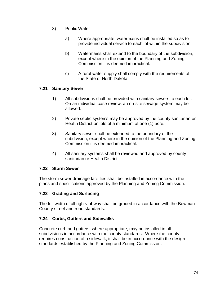- 3) Public Water
	- a) Where appropriate, watermains shall be installed so as to provide individual service to each lot within the subdivision.
	- b) Watermains shall extend to the boundary of the subdivision, except where in the opinion of the Planning and Zoning Commission it is deemed impractical.
	- c) A rural water supply shall comply with the requirements of the State of North Dakota.

# **7.21 Sanitary Sewer**

- 1) All subdivisions shall be provided with sanitary sewers to each lot. On an individual case review, an on-site sewage system may be allowed.
- 2) Private septic systems may be approved by the county sanitarian or Health District on lots of a minimum of one (1) acre.
- 3) Sanitary sewer shall be extended to the boundary of the subdivision, except where in the opinion of the Planning and Zoning Commission it is deemed impractical.
- 4) All sanitary systems shall be reviewed and approved by county sanitarian or Health District.

#### **7.22 Storm Sewer**

The storm sewer drainage facilities shall be installed in accordance with the plans and specifications approved by the Planning and Zoning Commission.

# **7.23 Grading and Surfacing**

The full width of all rights-of-way shall be graded in accordance with the Bowman County street and road standards.

#### **7.24 Curbs, Gutters and Sidewalks**

Concrete curb and gutters, where appropriate, may be installed in all subdivisions in accordance with the county standards. Where the county requires construction of a sidewalk, it shall be in accordance with the design standards established by the Planning and Zoning Commission.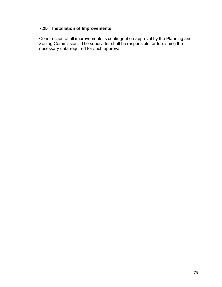# **7.25 Installation of Improvements**

Construction of all improvements is contingent on approval by the Planning and Zoning Commission. The subdivider shall be responsible for furnishing the necessary data required for such approval.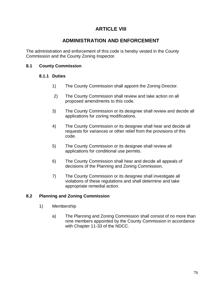# **ARTICLE VIII**

# **ADMINISTRATION AND ENFORCEMENT**

The administration and enforcement of this code is hereby vested in the County Commission and the County Zoning Inspector.

# **8.1 County Commission**

#### **8.1.1 Duties**

- 1) The County Commission shall appoint the Zoning Director.
- 2) The County Commission shall review and take action on all proposed amendments to this code.
- 3) The County Commission or its designee shall review and decide all applications for zoning modifications.
- 4) The County Commission or its designee shall hear and decide all requests for variances or other relief from the provisions of this code.
- 5) The County Commission or its designee shall review all applications for conditional use permits.
- 6) The County Commission shall hear and decide all appeals of decisions of the Planning and Zoning Commission.
- 7) The County Commission or its designee shall investigate all violations of these regulations and shall determine and take appropriate remedial action.

# **8.2 Planning and Zoning Commission**

- 1) Membership
	- a) The Planning and Zoning Commission shall consist of no more than nine members appointed by the County Commission in accordance with Chapter 11-33 of the NDCC.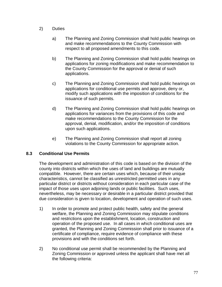- 2) Duties
	- a) The Planning and Zoning Commission shall hold public hearings on and make recommendations to the County Commission with respect to all proposed amendments to this code.
	- b) The Planning and Zoning Commission shall hold public hearings on applications for zoning modifications and make recommendation to the County Commission for the approval or denial of such applications.
	- c) The Planning and Zoning Commission shall hold public hearings on applications for conditional use permits and approve, deny or, modify such applications with the imposition of conditions for the issuance of such permits.
	- d) The Planning and Zoning Commission shall hold public hearings on applications for variances from the provisions of this code and make recommendations to the County Commission for the approval, denial, modification, and/or the imposition of conditions upon such applications.
	- e) The Planning and Zoning Commission shall report all zoning violations to the County Commission for appropriate action.

# **8.3 Conditional Use Permits**

The development and administration of this code is based on the division of the county into districts within which the uses of land and buildings are mutually compatible. However, there are certain uses which, because of their unique characteristics, cannot be classified as unrestricted permitted uses in any particular district or districts without consideration in each particular case of the impact of those uses upon adjoining lands or public facilities. Such uses, nevertheless, may be necessary or desirable in a particular district provided that due consideration is given to location, development and operation of such uses.

- 1) In order to promote and protect public health, safety and the general welfare, the Planning and Zoning Commission may stipulate conditions and restrictions upon the establishment, location, construction and operation of the proposed use. In all cases in which conditional uses are granted, the Planning and Zoning Commission shall prior to issuance of a certificate of compliance, require evidence of compliance with these provisions and with the conditions set forth.
- 2) No conditional use permit shall be recommended by the Planning and Zoning Commission or approved unless the applicant shall have met all the following criteria: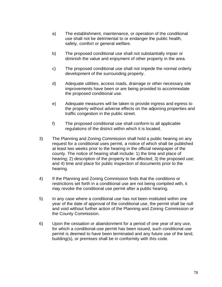- a) The establishment, maintenance, or operation of the conditional use shall not be detrimental to or endanger the public health, safety, comfort or general welfare.
- b) The proposed conditional use shall not substantially impair or diminish the value and enjoyment of other property in the area.
- c) The proposed conditional use shall not impede the normal orderly development of the surrounding property.
- d) Adequate utilities, access roads, drainage or other necessary site improvements have been or are being provided to accommodate the proposed conditional use.
- e) Adequate measures will be taken to provide ingress and egress to the property without adverse effects on the adjoining properties and traffic congestion in the public street.
- f) The proposed conditional use shall conform to all applicable regulations of the district within which it is located.
- 3) The Planning and Zoning Commission shall hold a public hearing on any request for a conditional uses permit, a notice of which shall be published at least two weeks prior to the hearing in the official newspaper of the county. The notice of hearing shall include: 1) the time and place of hearing; 2) description of the property to be affected; 3) the proposed use; and 4) time and place for public inspection of documents prior to the hearing.
- 4) If the Planning and Zoning Commission finds that the conditions or restrictions set forth in a conditional use are not being compiled with, it may revoke the conditional use permit after a public hearing.
- 5) In any case where a conditional use has not been instituted within one year of the date of approval of the conditional use, the permit shall be null and void without further action of the Planning and Zoning Commission or the County Commission.
- 6) Upon the cessation or abandonment for a period of one year of any use, for which a conditional-use permit has been issued, such conditional use permit is deemed to have been terminated and any future use of the land, building(s), or premises shall be in conformity with this code.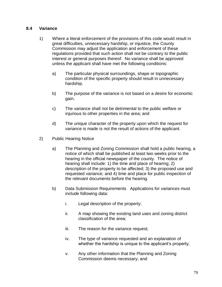#### **8.4 Variance**

- 1) Where a literal enforcement of the provisions of this code would result in great difficulties, unnecessary hardship, or injustice, the County Commission may adjust the application and enforcement of these regulations provided that such action shall not be contrary to the public interest or general purposes thereof. No variance shall be approved unless the applicant shall have met the following conditions:
	- a) The particular physical surroundings, shape or topographic condition of the specific property should result in unnecessary hardship.
	- b) The purpose of the variance is not based on a desire for economic gain.
	- c) The variance shall not be detrimental to the public welfare or injurious to other properties in the area; and
	- d) The unique character of the property upon which the request for variance is made is not the result of actions of the applicant.
- 2) Public Hearing Notice
	- a) The Planning and Zoning Commission shall hold a public hearing, a notice of which shall be published at least two weeks prior to the hearing in the official newspaper of the county. The notice of hearing shall include: 1) the time and place of hearing; 2) description of the property to be affected; 3) the proposed use and requested variance; and 4) time and place for public inspection of the relevant documents before the hearing.
	- b) Data Submission Requirements Applications for variances must include following data:
		- i. Legal description of the property;
		- ii. A map showing the existing land uses and zoning district classification of the area;
		- iii. The reason for the variance request;
		- iv. The type of variance requested and an explanation of whether the hardship is unique to the applicant's property;
		- v. Any other information that the Planning and Zoning Commission deems necessary; and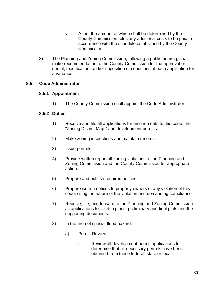- vi. A fee, the amount of which shall be determined by the County Commission, plus any additional costs to be paid in accordance with the schedule established by the County Commission.
- 3) The Planning and Zoning Commission, following a public hearing, shall make recommendation to the County Commission for the approval or denial, modification, and/or imposition of conditions of each application for a variance.

# **8.5 Code Administrator**

#### **8.5.1 Appointment**

1) The County Commission shall appoint the Code Administrator.

#### **8.5.2 Duties**

- 1) Receive and file all applications for amendments to this code, the "Zoning District Map," and development permits.
- 2) Make zoning inspections and maintain records.
- 3) Issue permits.
- 4) Provide written report all zoning violations to the Planning and Zoning Commission and the County Commission for appropriate action.
- 5) Prepare and publish required notices.
- 6) Prepare written notices to property owners of any violation of this code, citing the nature of the violation and demanding compliance.
- 7) Receive, file, and forward to the Planning and Zoning Commission all applications for sketch plans, preliminary and final plats and the supporting documents.
- 8) In the area of special flood hazard:
	- a) Permit Review
		- i. Review all development permit applications to determine that all necessary permits have been obtained from those federal, state or locaI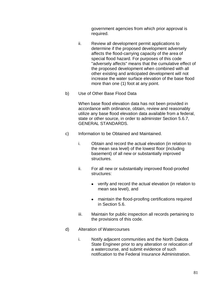government agencies from which prior approval is required.

- ii. Review all development permit applications to determine if the proposed development adversely affects the flood-carrying capacity of the area of special flood hazard. For purposes of this code "adversely affects" means that the cumulative effect of the proposed development when combined with all other existing and anticipated development will not increase the water surface elevation of the base flood more than one (1) foot at any point.
- b) Use of Other Base Flood Data

When base flood elevation data has not been provided in accordance with ordinance, obtain, review and reasonably utilize any base flood elevation data available from a federal, state or other source, in order to administer Section 5.6.7, GENERAL STANDARDS.

- c) Information to be Obtained and Maintained.
	- i. Obtain and record the actual elevation (in relation to the mean sea level) of the lowest floor (including basement) of all new or substantially improved structures.
	- ii. For all new or substantially improved flood-proofed structures:
		- verify and record the actual elevation (in relation to mean sea level), and
		- maintain the flood-proofing certifications required in Section 5.6.
	- iii. Maintain for public inspection all records pertaining to the provisions of this code.
- d) Alteration of Watercourses
	- i. Notify adjacent communities and the North Dakota State Engineer prior to any alteration or relocation of a watercourse, and submit evidence of such notification to the Federal Insurance Administration.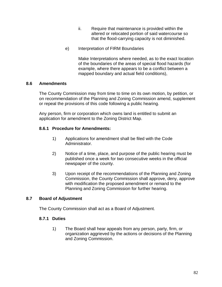- ii. Require that maintenance is provided within the altered or relocated portion of said watercourse so that the flood-carrying capacity is not diminished.
- e) Interpretation of FIRM Boundaries

Make Interpretations where needed, as to the exact location of the boundaries of the areas of special flood hazards (for example, where there appears to be a conflict between a mapped boundary and actual field conditions),

# **8.6 Amendments**

The County Commission may from time to time on its own motion, by petition, or on recommendation of the Planning and Zoning Commission amend, supplement or repeal the provisions of this code following a public hearing.

Any person, firm or corporation which owns land is entitled to submit an application for amendment to the Zoning District Map.

# **8.6.1 Procedure for Amendments:**

- 1) Applications for amendment shall be filed with the Code Administrator.
- 2) Notice of a time, place, and purpose of the public hearing must be published once a week for two consecutive weeks in the official newspaper of the county.
- 3) Upon receipt of the recommendations of the Planning and Zoning Commission, the County Commission shall approve, deny, approve with modification the proposed amendment or remand to the Planning and Zoning Commission for further hearing.

# **8.7 Board of Adjustment**

The County Commission shall act as a Board of Adjustment.

#### **8.7.1 Duties**

1) The Board shall hear appeals from any person, party, firm, or organization aggrieved by the actions or decisions of the Planning and Zoning Commission.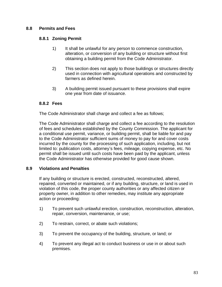# **8.8 Permits and Fees**

#### **8.8.1 Zoning Permit**

- 1) It shall be unlawful for any person to commence construction, alteration, or conversion of any building or structure without first obtaining a building permit from the Code Administrator.
- 2) This section does not apply to those buildings or structures directly used in connection with agricultural operations and constructed by farmers as defined herein.
- 3) A building permit issued pursuant to these provisions shall expire one year from date of issuance.

#### **8.8.2 Fees**

The Code Administrator shall charge and collect a fee as follows;

The Code Administrator shall charge and collect a fee according to the resolution of fees and schedules established by the County Commission. The applicant for a conditional use permit, variance, or building permit, shall be liable for and pay to the Code Administrator sufficient sums of money to pay for and cover costs incurred by the county for the processing of such application, including, but not limited to: publication costs, attorney's fees, mileage, copying expense, etc. No permit shall be issued until such costs have been paid by the applicant, unless the Code Administrator has otherwise provided for good cause shown.

# **8.9 Violations and Penalties**

If any building or structure is erected, constructed, reconstructed, altered, repaired, converted or maintained, or if any building, structure, or land is used in violation of this code, the proper county authorities or any affected citizen or property owner, in addition to other remedies, may institute any appropriate action or proceeding:

- 1) To prevent such unlawful erection, construction, reconstruction, alteration, repair, conversion, maintenance, or use;
- 2) To restrain, correct, or abate such violations;
- 3) To prevent the occupancy of the building, structure, or land; or
- 4) To prevent any illegal act to conduct business or use in or about such premises.